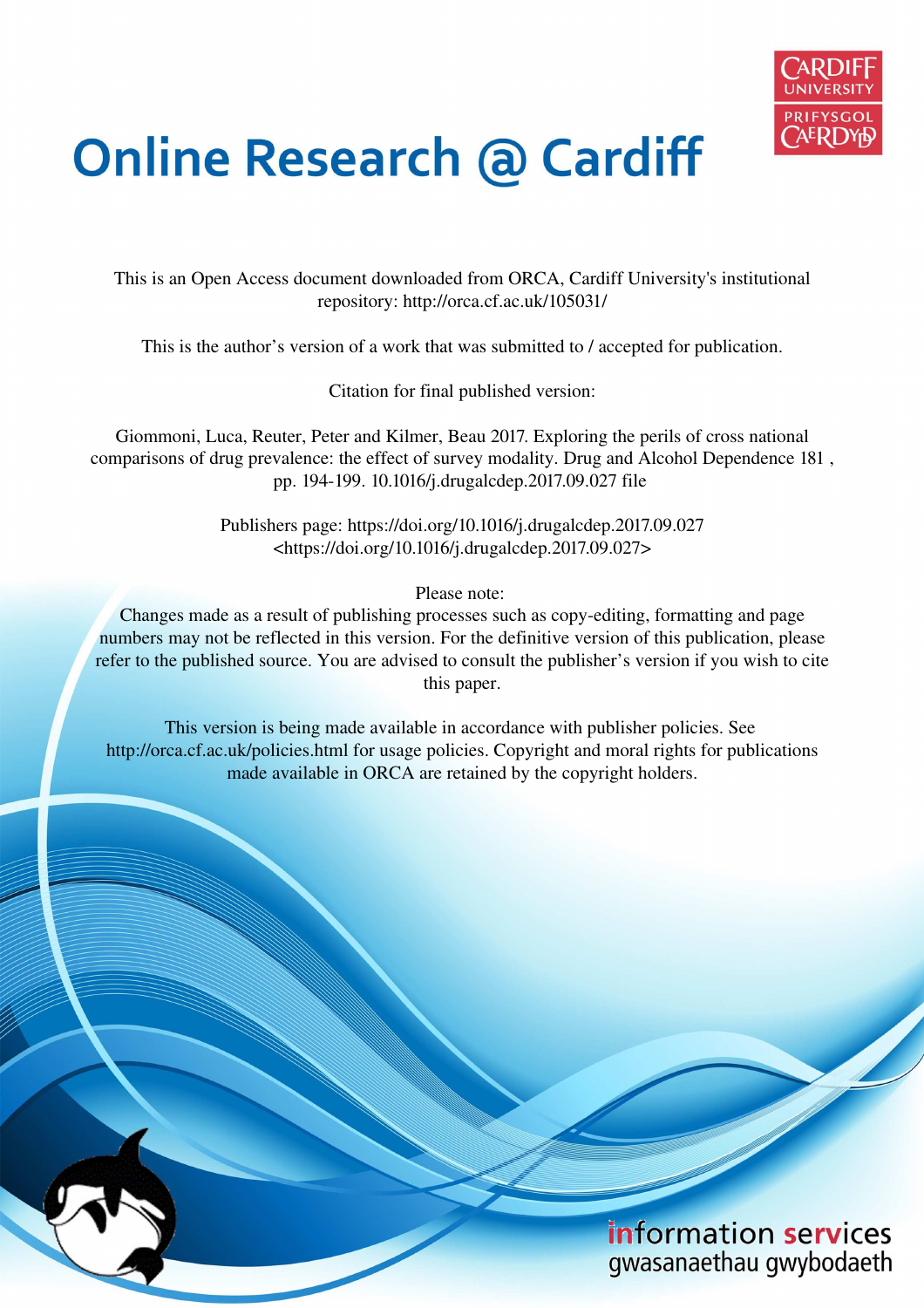

# **Online Research @ Cardiff**

This is an Open Access document downloaded from ORCA, Cardiff University's institutional repository: http://orca.cf.ac.uk/105031/

This is the author's version of a work that was submitted to / accepted for publication.

Citation for final published version:

Giommoni, Luca, Reuter, Peter and Kilmer, Beau 2017. Exploring the perils of cross national comparisons of drug prevalence: the effect of survey modality. Drug and Alcohol Dependence 181 , pp. 194-199. 10.1016/j.drugalcdep.2017.09.027 file

> Publishers page: https://doi.org/10.1016/j.drugalcdep.2017.09.027 <https://doi.org/10.1016/j.drugalcdep.2017.09.027>

> > Please note:

Changes made as a result of publishing processes such as copy-editing, formatting and page numbers may not be reflected in this version. For the definitive version of this publication, please refer to the published source. You are advised to consult the publisher's version if you wish to cite this paper.

This version is being made available in accordance with publisher policies. See http://orca.cf.ac.uk/policies.html for usage policies. Copyright and moral rights for publications made available in ORCA are retained by the copyright holders.

## information services gwasanaethau gwybodaeth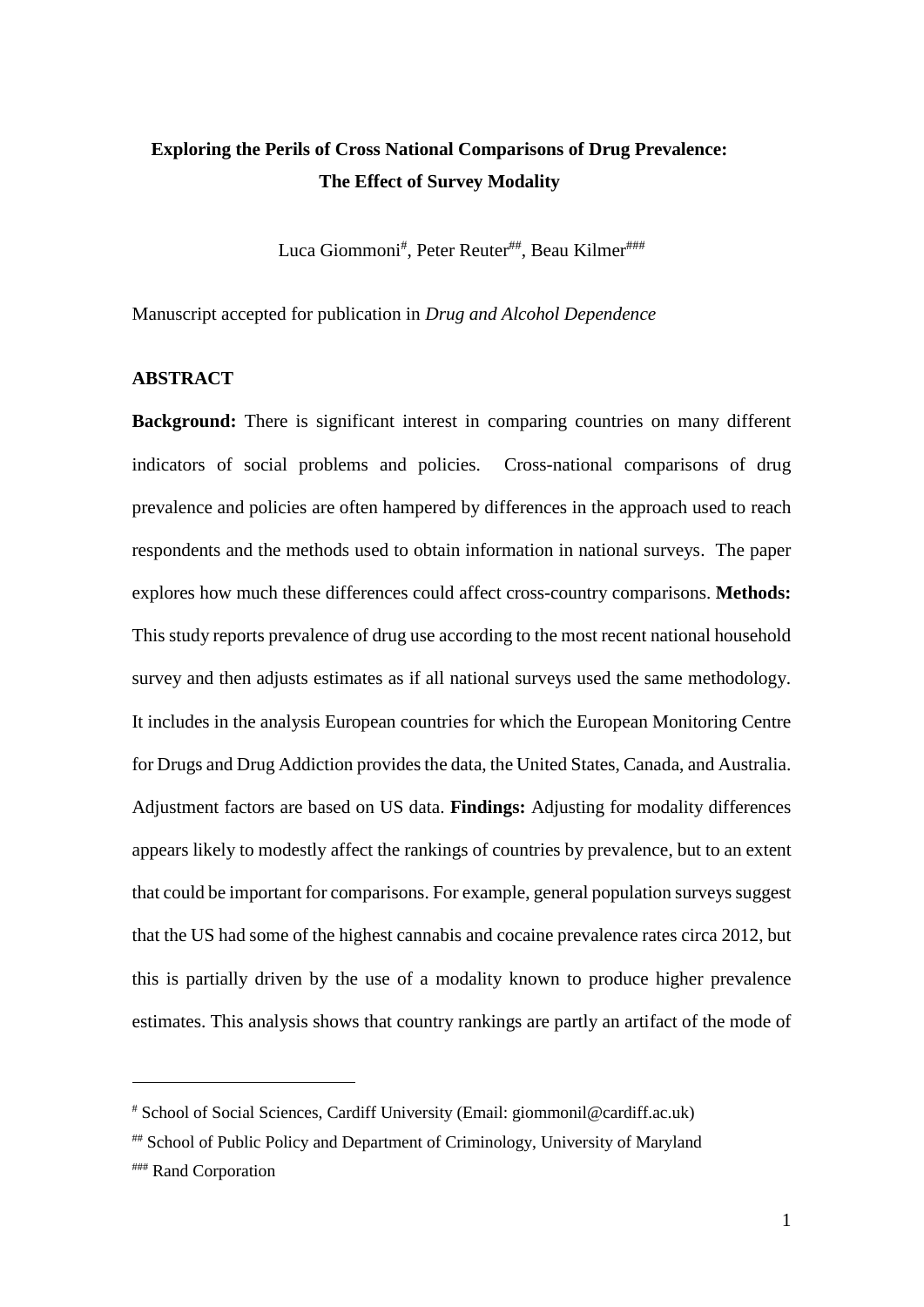## **Exploring the Perils of Cross National Comparisons of Drug Prevalence: The Effect of Survey Modality**

Luca Giommoni<sup>#</sup>, Peter Reuter<sup>##</sup>, Beau Kilmer<sup>###</sup>

Manuscript accepted for publication in *Drug and Alcohol Dependence*

#### **ABSTRACT**

**Background:** There is significant interest in comparing countries on many different indicators of social problems and policies. Cross-national comparisons of drug prevalence and policies are often hampered by differences in the approach used to reach respondents and the methods used to obtain information in national surveys.The paper explores how much these differences could affect cross-country comparisons. **Methods:**  This study reports prevalence of drug use according to the most recent national household survey and then adjusts estimates as if all national surveys used the same methodology. It includes in the analysis European countries for which the European Monitoring Centre for Drugs and Drug Addiction provides the data, the United States, Canada, and Australia. Adjustment factors are based on US data. **Findings:** Adjusting for modality differences appears likely to modestly affect the rankings of countries by prevalence, but to an extent that could be important for comparisons. For example, general population surveys suggest that the US had some of the highest cannabis and cocaine prevalence rates circa 2012, but this is partially driven by the use of a modality known to produce higher prevalence estimates. This analysis shows that country rankings are partly an artifact of the mode of

-

<sup>#</sup> School of Social Sciences, Cardiff University (Email: giommonil@cardiff.ac.uk)

<sup>##</sup> School of Public Policy and Department of Criminology, University of Maryland

<sup>###</sup> Rand Corporation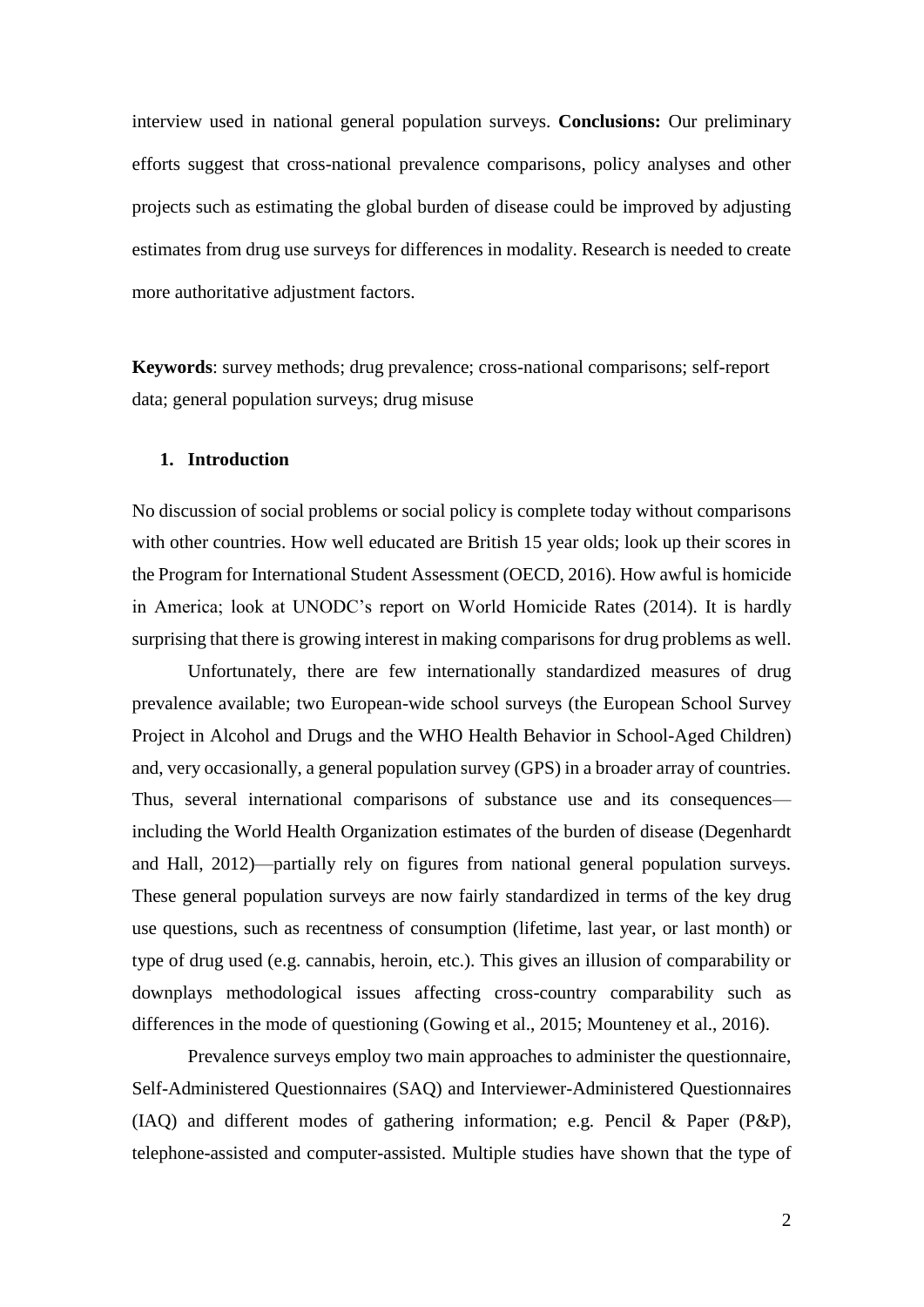interview used in national general population surveys. **Conclusions:** Our preliminary efforts suggest that cross-national prevalence comparisons, policy analyses and other projects such as estimating the global burden of disease could be improved by adjusting estimates from drug use surveys for differences in modality. Research is needed to create more authoritative adjustment factors.

**Keywords**: survey methods; drug prevalence; cross-national comparisons; self-report data; general population surveys; drug misuse

#### **1. Introduction**

No discussion of social problems or social policy is complete today without comparisons with other countries. How well educated are British 15 year olds; look up their scores in the Program for International Student Assessment (OECD, 2016). How awful is homicide in America; look at UNODC's report on World Homicide Rates (2014). It is hardly surprising that there is growing interest in making comparisons for drug problems as well.

Unfortunately, there are few internationally standardized measures of drug prevalence available; two European-wide school surveys (the European School Survey Project in Alcohol and Drugs and the WHO Health Behavior in School-Aged Children) and, very occasionally, a general population survey (GPS) in a broader array of countries. Thus, several international comparisons of substance use and its consequences including the World Health Organization estimates of the burden of disease (Degenhardt and Hall, 2012)—partially rely on figures from national general population surveys. These general population surveys are now fairly standardized in terms of the key drug use questions, such as recentness of consumption (lifetime, last year, or last month) or type of drug used (e.g. cannabis, heroin, etc.). This gives an illusion of comparability or downplays methodological issues affecting cross-country comparability such as differences in the mode of questioning (Gowing et al., 2015; Mounteney et al., 2016).

Prevalence surveys employ two main approaches to administer the questionnaire, Self-Administered Questionnaires (SAQ) and Interviewer-Administered Questionnaires (IAQ) and different modes of gathering information; e.g. Pencil & Paper (P&P), telephone-assisted and computer-assisted. Multiple studies have shown that the type of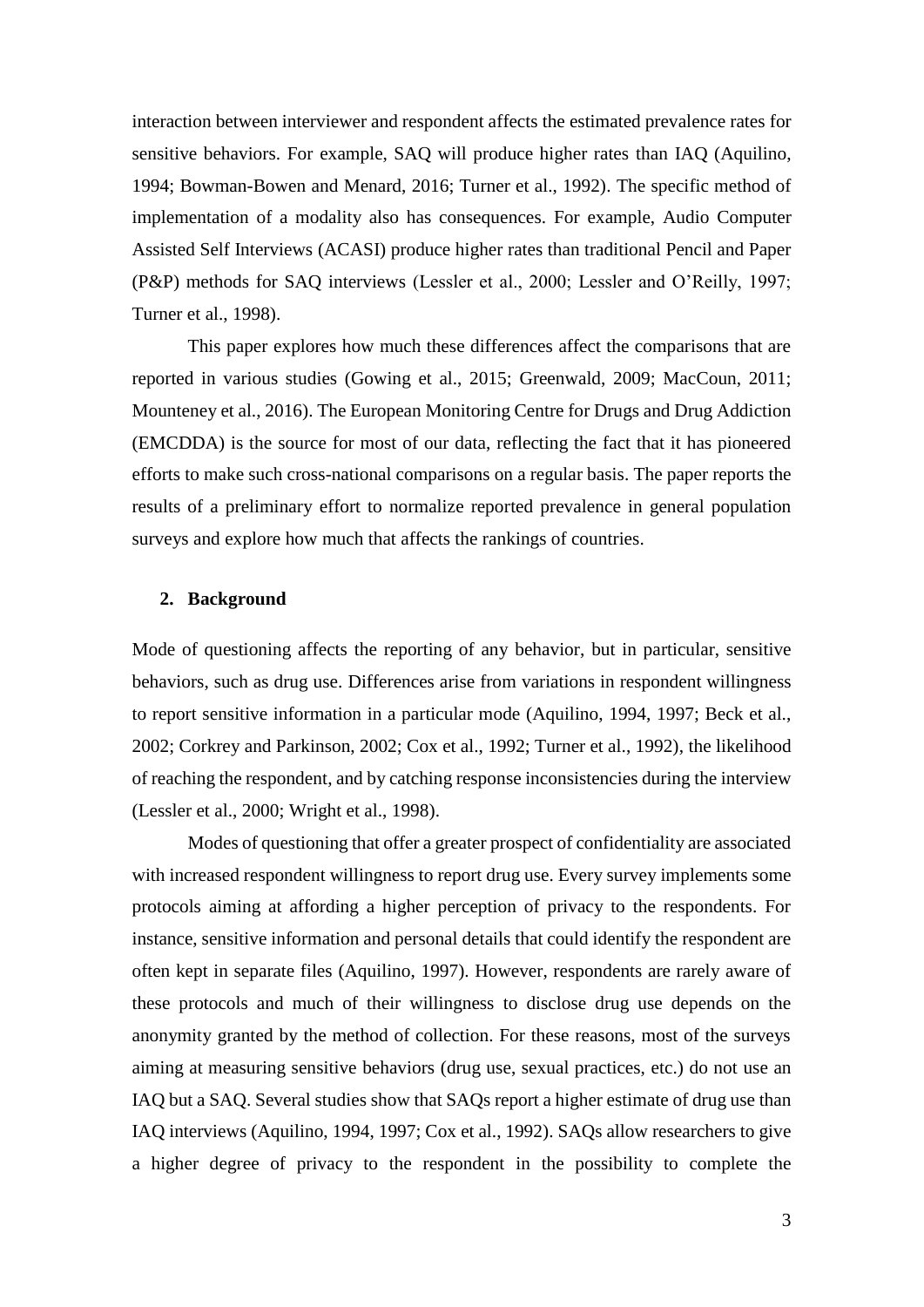interaction between interviewer and respondent affects the estimated prevalence rates for sensitive behaviors. For example, SAQ will produce higher rates than IAQ (Aquilino, 1994; Bowman-Bowen and Menard, 2016; Turner et al., 1992). The specific method of implementation of a modality also has consequences. For example, Audio Computer Assisted Self Interviews (ACASI) produce higher rates than traditional Pencil and Paper (P&P) methods for SAQ interviews (Lessler et al., 2000; Lessler and O'Reilly, 1997; Turner et al., 1998).

This paper explores how much these differences affect the comparisons that are reported in various studies (Gowing et al., 2015; Greenwald, 2009; MacCoun, 2011; Mounteney et al., 2016). The European Monitoring Centre for Drugs and Drug Addiction (EMCDDA) is the source for most of our data, reflecting the fact that it has pioneered efforts to make such cross-national comparisons on a regular basis. The paper reports the results of a preliminary effort to normalize reported prevalence in general population surveys and explore how much that affects the rankings of countries.

#### **2. Background**

Mode of questioning affects the reporting of any behavior, but in particular, sensitive behaviors, such as drug use. Differences arise from variations in respondent willingness to report sensitive information in a particular mode (Aquilino, 1994, 1997; Beck et al., 2002; Corkrey and Parkinson, 2002; Cox et al., 1992; Turner et al., 1992), the likelihood of reaching the respondent, and by catching response inconsistencies during the interview (Lessler et al., 2000; Wright et al., 1998).

Modes of questioning that offer a greater prospect of confidentiality are associated with increased respondent willingness to report drug use. Every survey implements some protocols aiming at affording a higher perception of privacy to the respondents. For instance, sensitive information and personal details that could identify the respondent are often kept in separate files (Aquilino, 1997). However, respondents are rarely aware of these protocols and much of their willingness to disclose drug use depends on the anonymity granted by the method of collection. For these reasons, most of the surveys aiming at measuring sensitive behaviors (drug use, sexual practices, etc.) do not use an IAQ but a SAQ. Several studies show that SAQs report a higher estimate of drug use than IAQ interviews (Aquilino, 1994, 1997; Cox et al., 1992). SAQs allow researchers to give a higher degree of privacy to the respondent in the possibility to complete the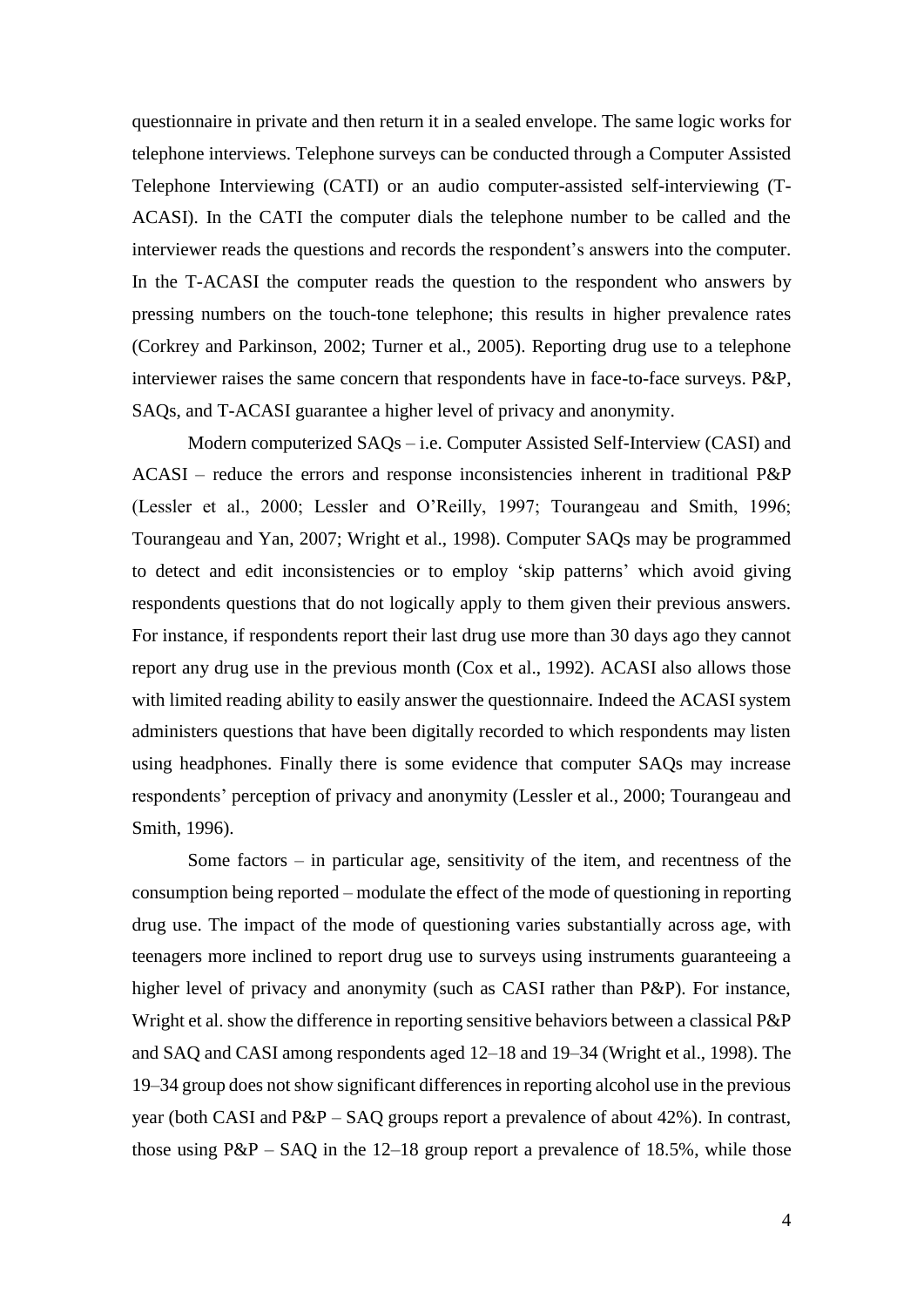questionnaire in private and then return it in a sealed envelope. The same logic works for telephone interviews. Telephone surveys can be conducted through a Computer Assisted Telephone Interviewing (CATI) or an audio computer-assisted self-interviewing (T-ACASI). In the CATI the computer dials the telephone number to be called and the interviewer reads the questions and records the respondent's answers into the computer. In the T-ACASI the computer reads the question to the respondent who answers by pressing numbers on the touch-tone telephone; this results in higher prevalence rates (Corkrey and Parkinson, 2002; Turner et al., 2005). Reporting drug use to a telephone interviewer raises the same concern that respondents have in face-to-face surveys. P&P, SAQs, and T-ACASI guarantee a higher level of privacy and anonymity.

Modern computerized SAQs – i.e. Computer Assisted Self-Interview (CASI) and ACASI – reduce the errors and response inconsistencies inherent in traditional P&P (Lessler et al., 2000; Lessler and O'Reilly, 1997; Tourangeau and Smith, 1996; Tourangeau and Yan, 2007; Wright et al., 1998). Computer SAQs may be programmed to detect and edit inconsistencies or to employ 'skip patterns' which avoid giving respondents questions that do not logically apply to them given their previous answers. For instance, if respondents report their last drug use more than 30 days ago they cannot report any drug use in the previous month (Cox et al., 1992). ACASI also allows those with limited reading ability to easily answer the questionnaire. Indeed the ACASI system administers questions that have been digitally recorded to which respondents may listen using headphones. Finally there is some evidence that computer SAQs may increase respondents' perception of privacy and anonymity (Lessler et al., 2000; Tourangeau and Smith, 1996).

Some factors – in particular age, sensitivity of the item, and recentness of the consumption being reported – modulate the effect of the mode of questioning in reporting drug use. The impact of the mode of questioning varies substantially across age, with teenagers more inclined to report drug use to surveys using instruments guaranteeing a higher level of privacy and anonymity (such as CASI rather than P&P). For instance, Wright et al. show the difference in reporting sensitive behaviors between a classical P&P and SAQ and CASI among respondents aged 12–18 and 19–34 (Wright et al., 1998). The 19–34 group does not show significant differences in reporting alcohol use in the previous year (both CASI and P&P – SAQ groups report a prevalence of about 42%). In contrast, those using  $P\&P - SAQ$  in the 12–18 group report a prevalence of 18.5%, while those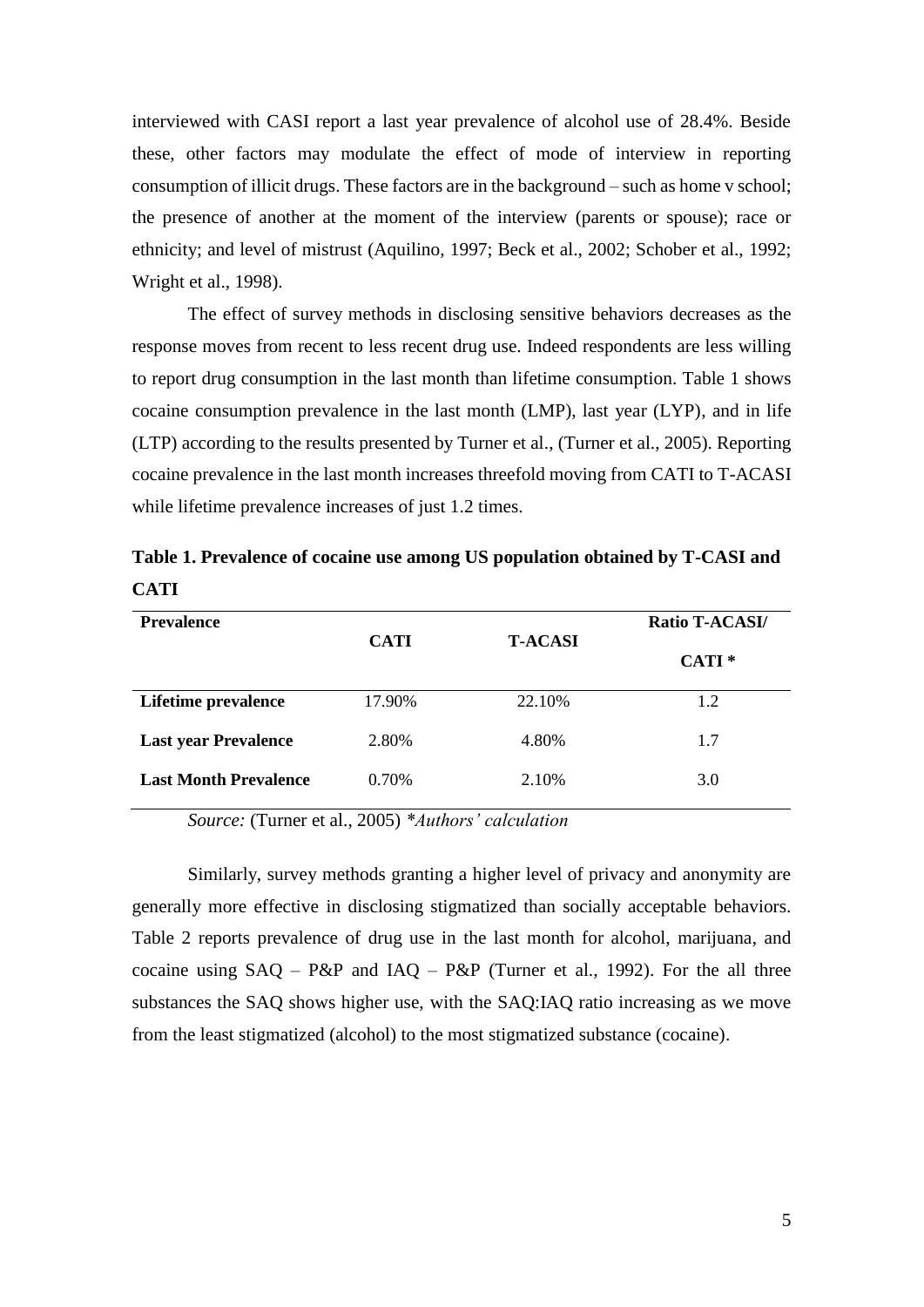interviewed with CASI report a last year prevalence of alcohol use of 28.4%. Beside these, other factors may modulate the effect of mode of interview in reporting consumption of illicit drugs. These factors are in the background – such as home v school; the presence of another at the moment of the interview (parents or spouse); race or ethnicity; and level of mistrust (Aquilino, 1997; Beck et al., 2002; Schober et al., 1992; Wright et al., 1998).

The effect of survey methods in disclosing sensitive behaviors decreases as the response moves from recent to less recent drug use. Indeed respondents are less willing to report drug consumption in the last month than lifetime consumption. Table 1 shows cocaine consumption prevalence in the last month (LMP), last year (LYP), and in life (LTP) according to the results presented by Turner et al., (Turner et al., 2005). Reporting cocaine prevalence in the last month increases threefold moving from CATI to T-ACASI while lifetime prevalence increases of just 1.2 times.

**Table 1. Prevalence of cocaine use among US population obtained by T-CASI and CATI** 

| <b>Prevalence</b>            |             |                | Ratio T-ACASI/ |
|------------------------------|-------------|----------------|----------------|
|                              | <b>CATI</b> | <b>T-ACASI</b> | CATI *         |
| Lifetime prevalence          | 17.90%      | 22.10%         | 1.2            |
| <b>Last year Prevalence</b>  | 2.80%       | 4.80%          | 1.7            |
| <b>Last Month Prevalence</b> | 0.70%       | 2.10%          | 3.0            |

*Source:* (Turner et al., 2005) *\*Authors' calculation*

Similarly, survey methods granting a higher level of privacy and anonymity are generally more effective in disclosing stigmatized than socially acceptable behaviors. Table 2 reports prevalence of drug use in the last month for alcohol, marijuana, and cocaine using  $SAQ - P\&P$  and  $IAQ - P\&P$  (Turner et al., 1992). For the all three substances the SAQ shows higher use, with the SAQ:IAQ ratio increasing as we move from the least stigmatized (alcohol) to the most stigmatized substance (cocaine).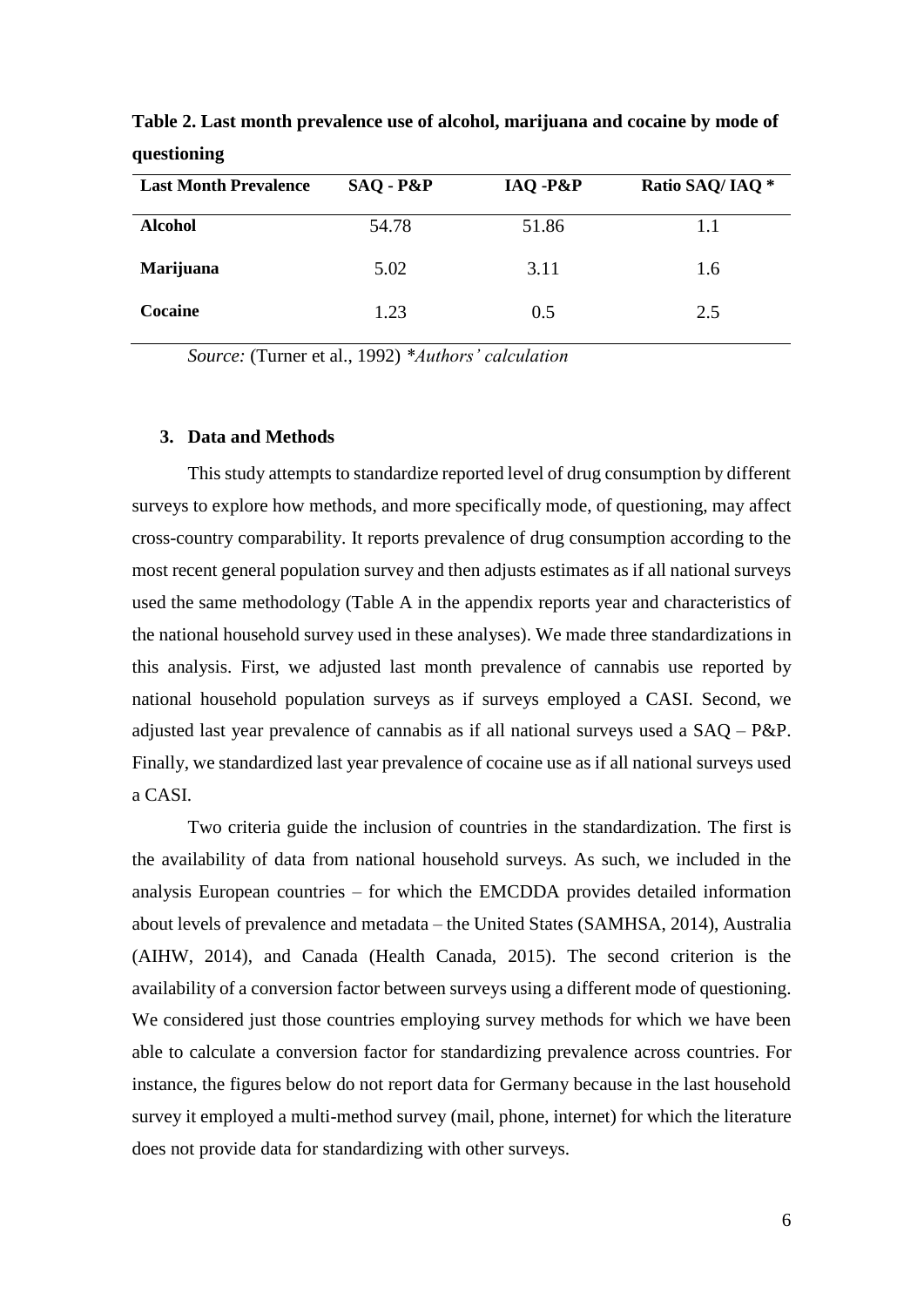| <b>Last Month Prevalence</b> | $SAO - P\&P$ | $IAO - P&P$ | Ratio SAQ/ IAQ <sup>*</sup> |
|------------------------------|--------------|-------------|-----------------------------|
| <b>Alcohol</b>               | 54.78        | 51.86       | 1.1                         |
| Marijuana                    | 5.02         | 3.11        | 1.6                         |
| Cocaine                      | 1.23         | 0.5         | 2.5                         |

**Table 2. Last month prevalence use of alcohol, marijuana and cocaine by mode of questioning** 

*Source:* (Turner et al., 1992) *\*Authors' calculation*

#### **3. Data and Methods**

This study attempts to standardize reported level of drug consumption by different surveys to explore how methods, and more specifically mode, of questioning, may affect cross-country comparability. It reports prevalence of drug consumption according to the most recent general population survey and then adjusts estimates as if all national surveys used the same methodology (Table A in the appendix reports year and characteristics of the national household survey used in these analyses). We made three standardizations in this analysis. First, we adjusted last month prevalence of cannabis use reported by national household population surveys as if surveys employed a CASI. Second, we adjusted last year prevalence of cannabis as if all national surveys used a SAQ – P&P. Finally, we standardized last year prevalence of cocaine use as if all national surveys used a CASI.

Two criteria guide the inclusion of countries in the standardization. The first is the availability of data from national household surveys. As such, we included in the analysis European countries – for which the EMCDDA provides detailed information about levels of prevalence and metadata – the United States (SAMHSA, 2014), Australia (AIHW, 2014), and Canada (Health Canada, 2015). The second criterion is the availability of a conversion factor between surveys using a different mode of questioning. We considered just those countries employing survey methods for which we have been able to calculate a conversion factor for standardizing prevalence across countries. For instance, the figures below do not report data for Germany because in the last household survey it employed a multi-method survey (mail, phone, internet) for which the literature does not provide data for standardizing with other surveys.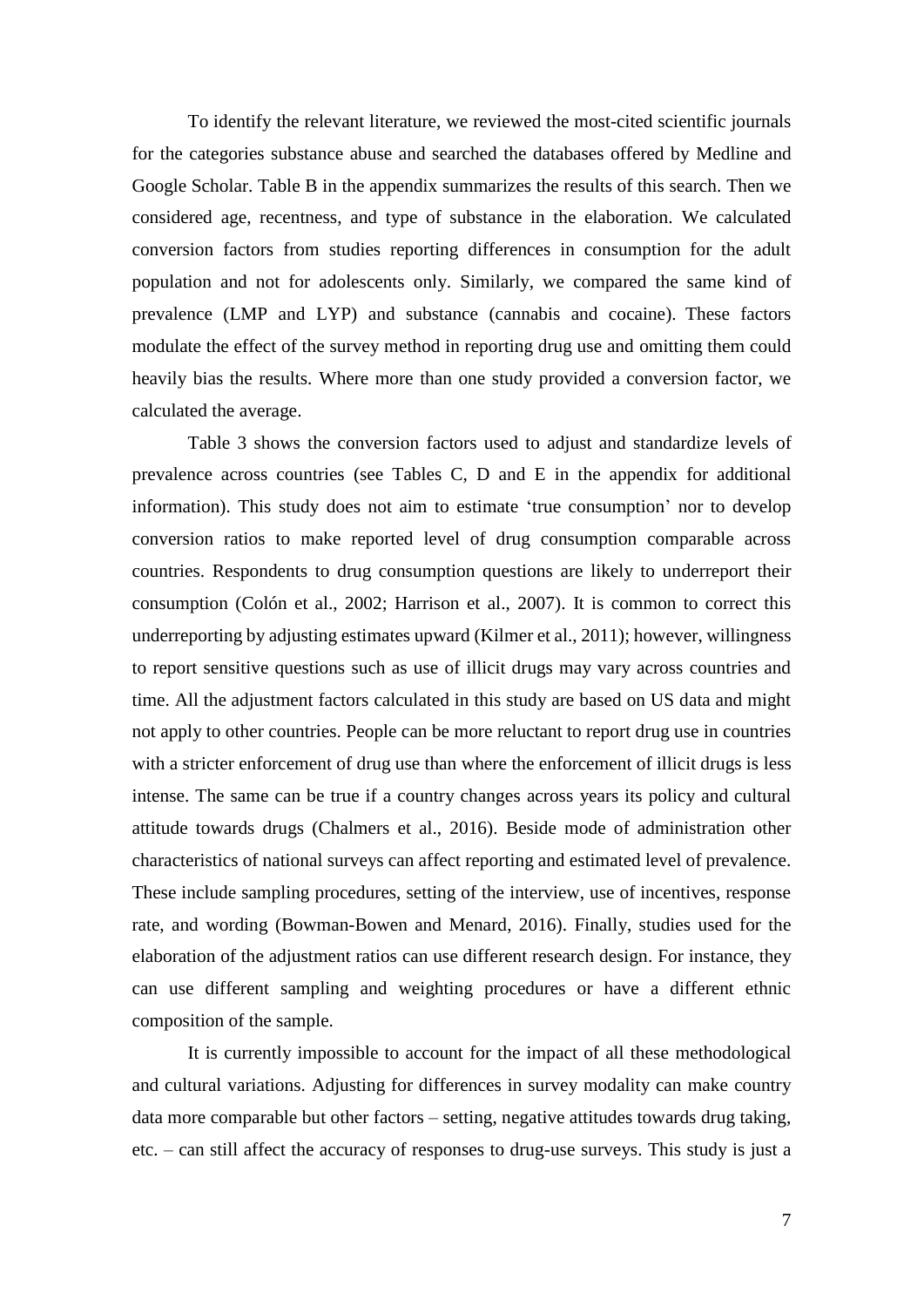To identify the relevant literature, we reviewed the most-cited scientific journals for the categories substance abuse and searched the databases offered by Medline and Google Scholar. Table B in the appendix summarizes the results of this search. Then we considered age, recentness, and type of substance in the elaboration. We calculated conversion factors from studies reporting differences in consumption for the adult population and not for adolescents only. Similarly, we compared the same kind of prevalence (LMP and LYP) and substance (cannabis and cocaine). These factors modulate the effect of the survey method in reporting drug use and omitting them could heavily bias the results. Where more than one study provided a conversion factor, we calculated the average.

Table 3 shows the conversion factors used to adjust and standardize levels of prevalence across countries (see Tables C, D and E in the appendix for additional information). This study does not aim to estimate 'true consumption' nor to develop conversion ratios to make reported level of drug consumption comparable across countries. Respondents to drug consumption questions are likely to underreport their consumption (Colón et al., 2002; Harrison et al., 2007). It is common to correct this underreporting by adjusting estimates upward (Kilmer et al., 2011); however, willingness to report sensitive questions such as use of illicit drugs may vary across countries and time. All the adjustment factors calculated in this study are based on US data and might not apply to other countries. People can be more reluctant to report drug use in countries with a stricter enforcement of drug use than where the enforcement of illicit drugs is less intense. The same can be true if a country changes across years its policy and cultural attitude towards drugs (Chalmers et al., 2016). Beside mode of administration other characteristics of national surveys can affect reporting and estimated level of prevalence. These include sampling procedures, setting of the interview, use of incentives, response rate, and wording (Bowman-Bowen and Menard, 2016). Finally, studies used for the elaboration of the adjustment ratios can use different research design. For instance, they can use different sampling and weighting procedures or have a different ethnic composition of the sample.

It is currently impossible to account for the impact of all these methodological and cultural variations. Adjusting for differences in survey modality can make country data more comparable but other factors – setting, negative attitudes towards drug taking, etc. – can still affect the accuracy of responses to drug-use surveys. This study is just a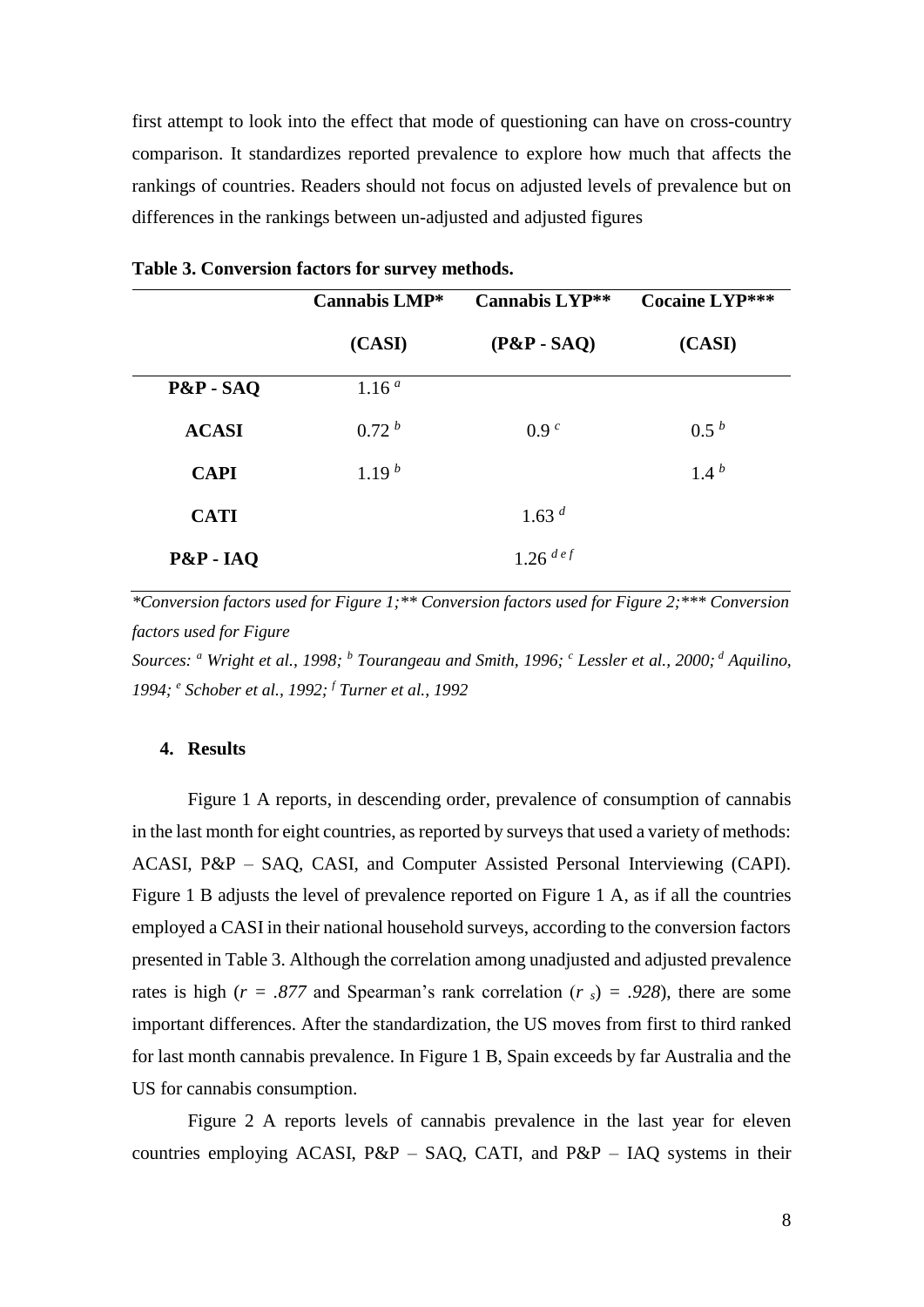first attempt to look into the effect that mode of questioning can have on cross-country comparison. It standardizes reported prevalence to explore how much that affects the rankings of countries. Readers should not focus on adjusted levels of prevalence but on differences in the rankings between un-adjusted and adjusted figures

|              | <b>Cannabis LMP*</b> | <b>Cannabis LYP**</b> | <b>Cocaine LYP***</b> |
|--------------|----------------------|-----------------------|-----------------------|
|              | (CASI)               | $(P&P-SAQ)$           | (CASI)                |
| $P\&P$ - SAQ | 1.16 <sup>a</sup>    |                       |                       |
| <b>ACASI</b> | 0.72 <sup>b</sup>    | 0.9 <sup>c</sup>      | 0.5 <sup>b</sup>      |
| <b>CAPI</b>  | 1.19 <sup>b</sup>    |                       | 1.4 <sup>b</sup>      |
| <b>CATI</b>  |                      | 1.63 <sup>d</sup>     |                       |
| $P\&P$ - IAQ |                      | $1.26$ def            |                       |

**Table 3. Conversion factors for survey methods.** 

*\*Conversion factors used for Figure 1;\*\* Conversion factors used for Figure 2;\*\*\* Conversion factors used for Figure* 

*Sources:* <sup>*a*</sup> Wright et al., 1998; <sup>*b*</sup> Tourangeau and Smith, 1996; <sup>*c*</sup> Lessler et al., 2000; <sup>*d*</sup> Aquilino, *1994; <sup>e</sup> Schober et al., 1992; <sup>f</sup> Turner et al., 1992*

#### **4. Results**

Figure 1 A reports, in descending order, prevalence of consumption of cannabis in the last month for eight countries, as reported by surveys that used a variety of methods: ACASI, P&P – SAQ, CASI, and Computer Assisted Personal Interviewing (CAPI). Figure 1 B adjusts the level of prevalence reported on Figure 1 A, as if all the countries employed a CASI in their national household surveys, according to the conversion factors presented in Table 3. Although the correlation among unadjusted and adjusted prevalence rates is high ( $r = .877$  and Spearman's rank correlation ( $r_s$ ) = .928), there are some important differences. After the standardization, the US moves from first to third ranked for last month cannabis prevalence. In Figure 1 B, Spain exceeds by far Australia and the US for cannabis consumption.

Figure 2 A reports levels of cannabis prevalence in the last year for eleven countries employing ACASI, P&P – SAQ, CATI, and P&P – IAQ systems in their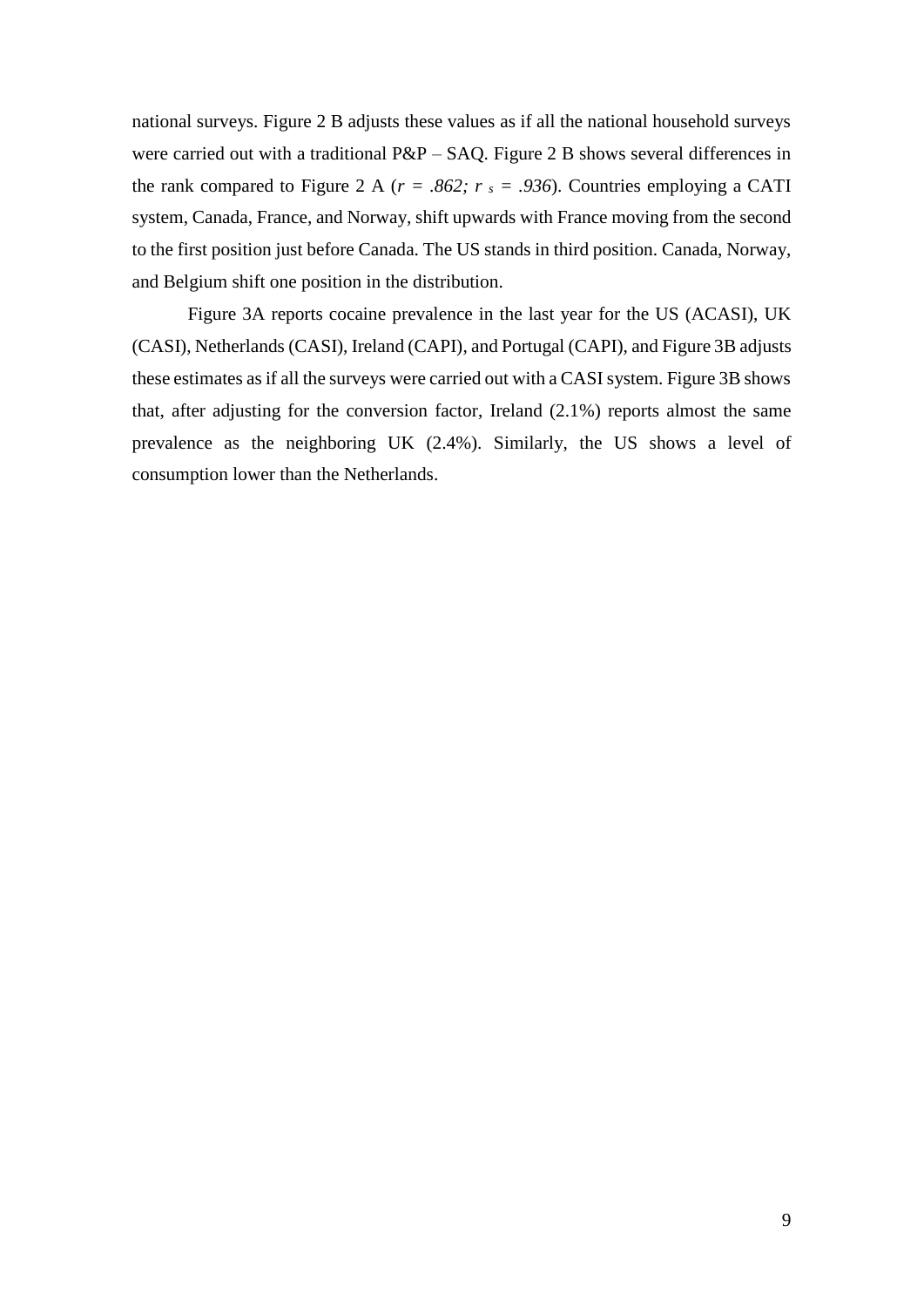national surveys. Figure 2 B adjusts these values as if all the national household surveys were carried out with a traditional P&P – SAQ. Figure 2 B shows several differences in the rank compared to Figure 2 A ( $r = .862$ ;  $r_s = .936$ ). Countries employing a CATI system, Canada, France, and Norway, shift upwards with France moving from the second to the first position just before Canada. The US stands in third position. Canada, Norway, and Belgium shift one position in the distribution.

Figure 3A reports cocaine prevalence in the last year for the US (ACASI), UK (CASI), Netherlands (CASI), Ireland (CAPI), and Portugal (CAPI), and Figure 3B adjusts these estimates as if all the surveys were carried out with a CASI system. Figure 3B shows that, after adjusting for the conversion factor, Ireland (2.1%) reports almost the same prevalence as the neighboring UK (2.4%). Similarly, the US shows a level of consumption lower than the Netherlands.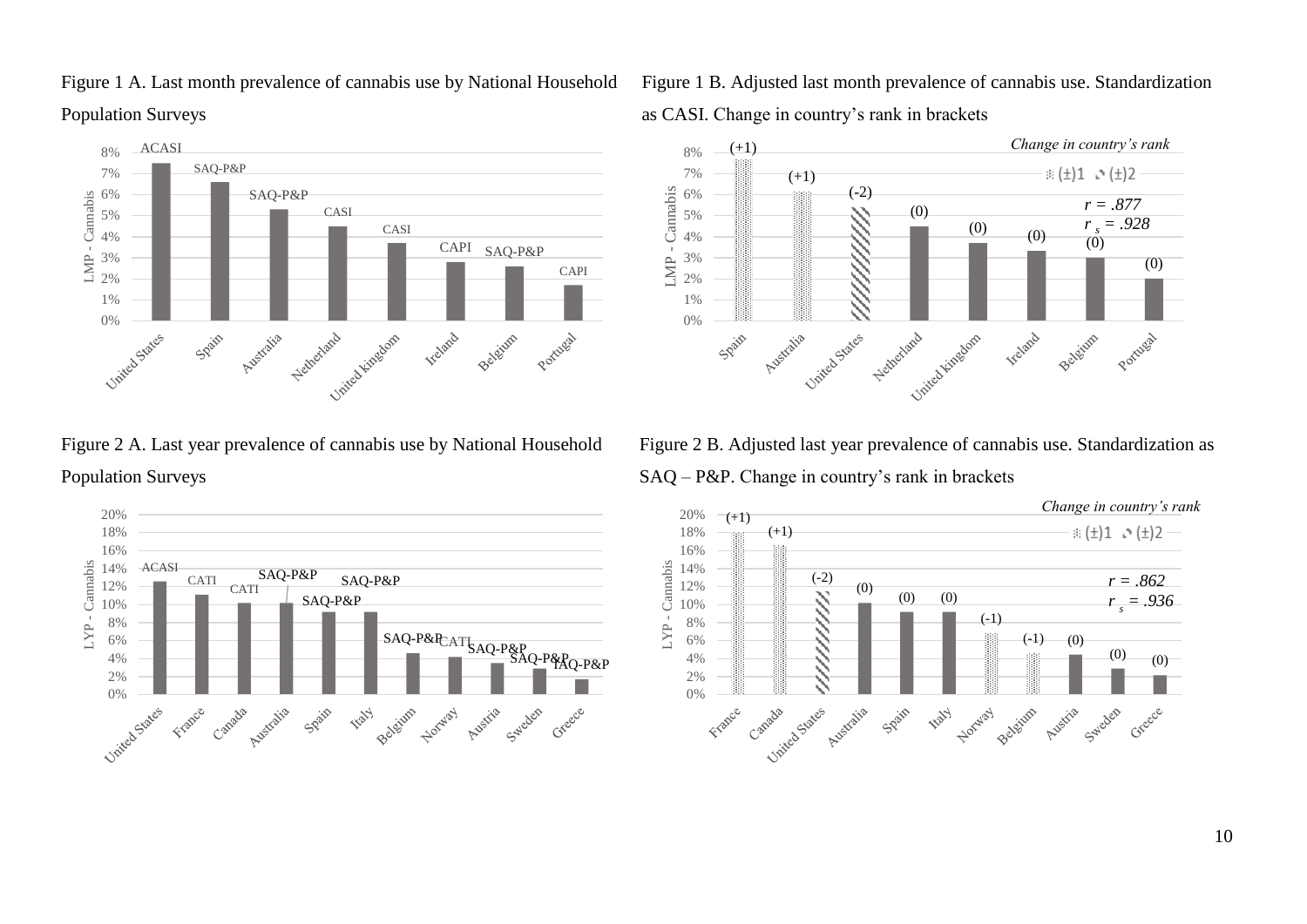





Figure 2 A. Last year prevalence of cannabis use by National Household Population Surveys





Figure 2 B. Adjusted last year prevalence of cannabis use. Standardization as SAQ – P&P. Change in country's rank in brackets

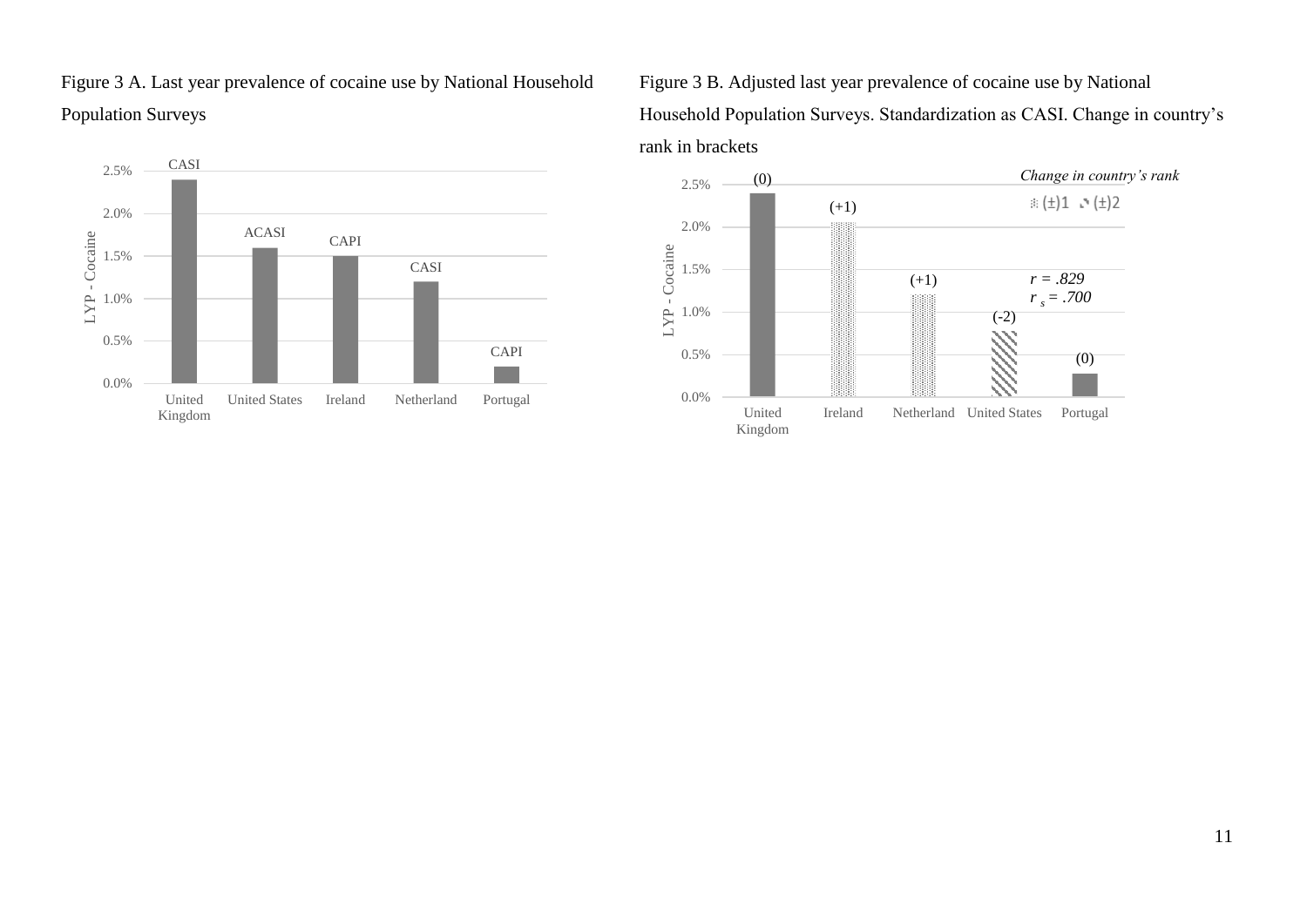Figure 3 A. Last year prevalence of cocaine use by National Household Population Surveys



Figure 3 B. Adjusted last year prevalence of cocaine use by National Household Population Surveys. Standardization as CASI. Change in country's rank in brackets

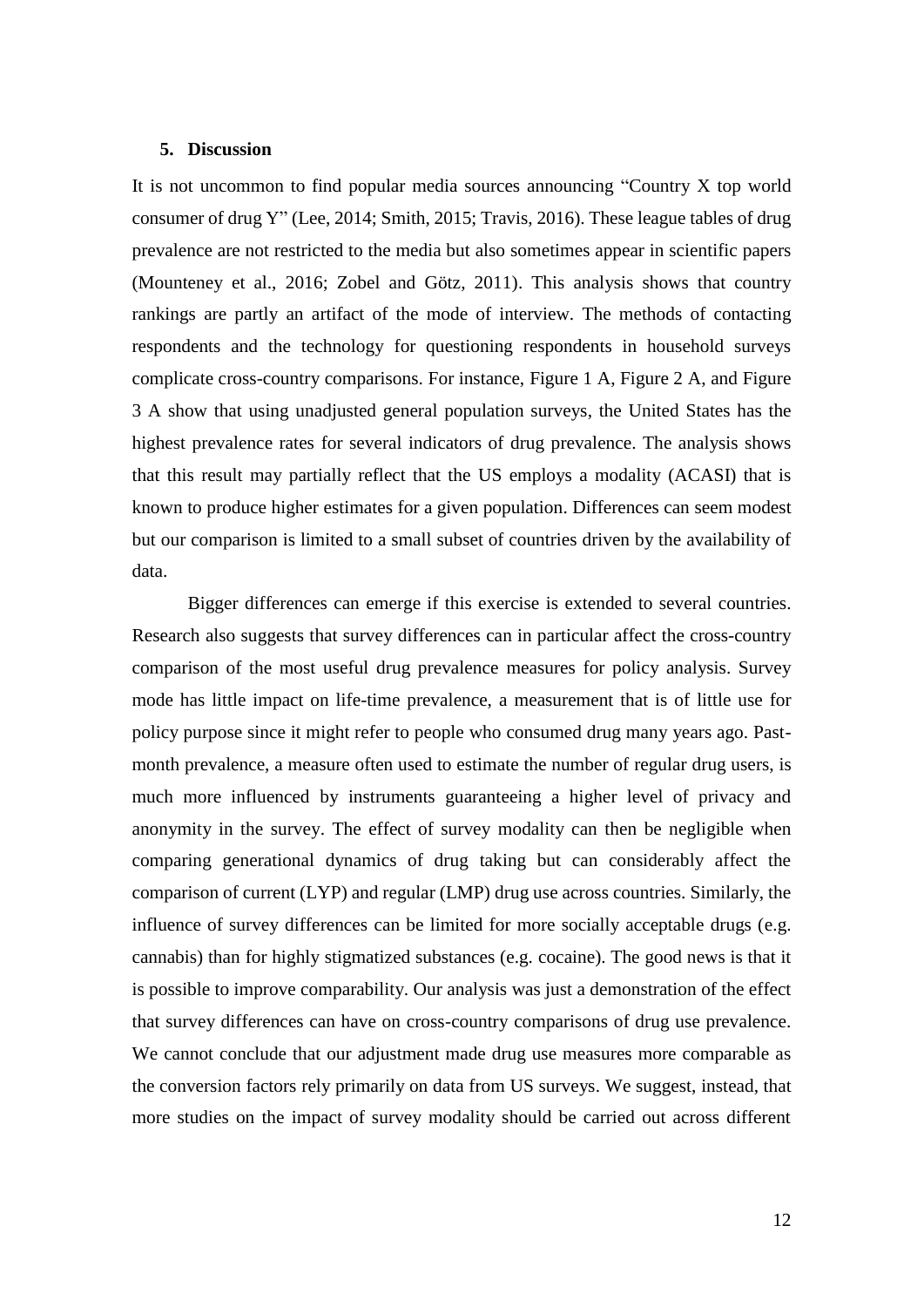#### **5. Discussion**

It is not uncommon to find popular media sources announcing "Country X top world consumer of drug Y" (Lee, 2014; Smith, 2015; Travis, 2016). These league tables of drug prevalence are not restricted to the media but also sometimes appear in scientific papers (Mounteney et al., 2016; Zobel and Götz, 2011). This analysis shows that country rankings are partly an artifact of the mode of interview. The methods of contacting respondents and the technology for questioning respondents in household surveys complicate cross-country comparisons. For instance, Figure 1 A, Figure 2 A, and Figure 3 A show that using unadjusted general population surveys, the United States has the highest prevalence rates for several indicators of drug prevalence. The analysis shows that this result may partially reflect that the US employs a modality (ACASI) that is known to produce higher estimates for a given population. Differences can seem modest but our comparison is limited to a small subset of countries driven by the availability of data.

Bigger differences can emerge if this exercise is extended to several countries. Research also suggests that survey differences can in particular affect the cross-country comparison of the most useful drug prevalence measures for policy analysis. Survey mode has little impact on life-time prevalence, a measurement that is of little use for policy purpose since it might refer to people who consumed drug many years ago. Pastmonth prevalence, a measure often used to estimate the number of regular drug users, is much more influenced by instruments guaranteeing a higher level of privacy and anonymity in the survey. The effect of survey modality can then be negligible when comparing generational dynamics of drug taking but can considerably affect the comparison of current (LYP) and regular (LMP) drug use across countries. Similarly, the influence of survey differences can be limited for more socially acceptable drugs (e.g. cannabis) than for highly stigmatized substances (e.g. cocaine). The good news is that it is possible to improve comparability. Our analysis was just a demonstration of the effect that survey differences can have on cross-country comparisons of drug use prevalence. We cannot conclude that our adjustment made drug use measures more comparable as the conversion factors rely primarily on data from US surveys. We suggest, instead, that more studies on the impact of survey modality should be carried out across different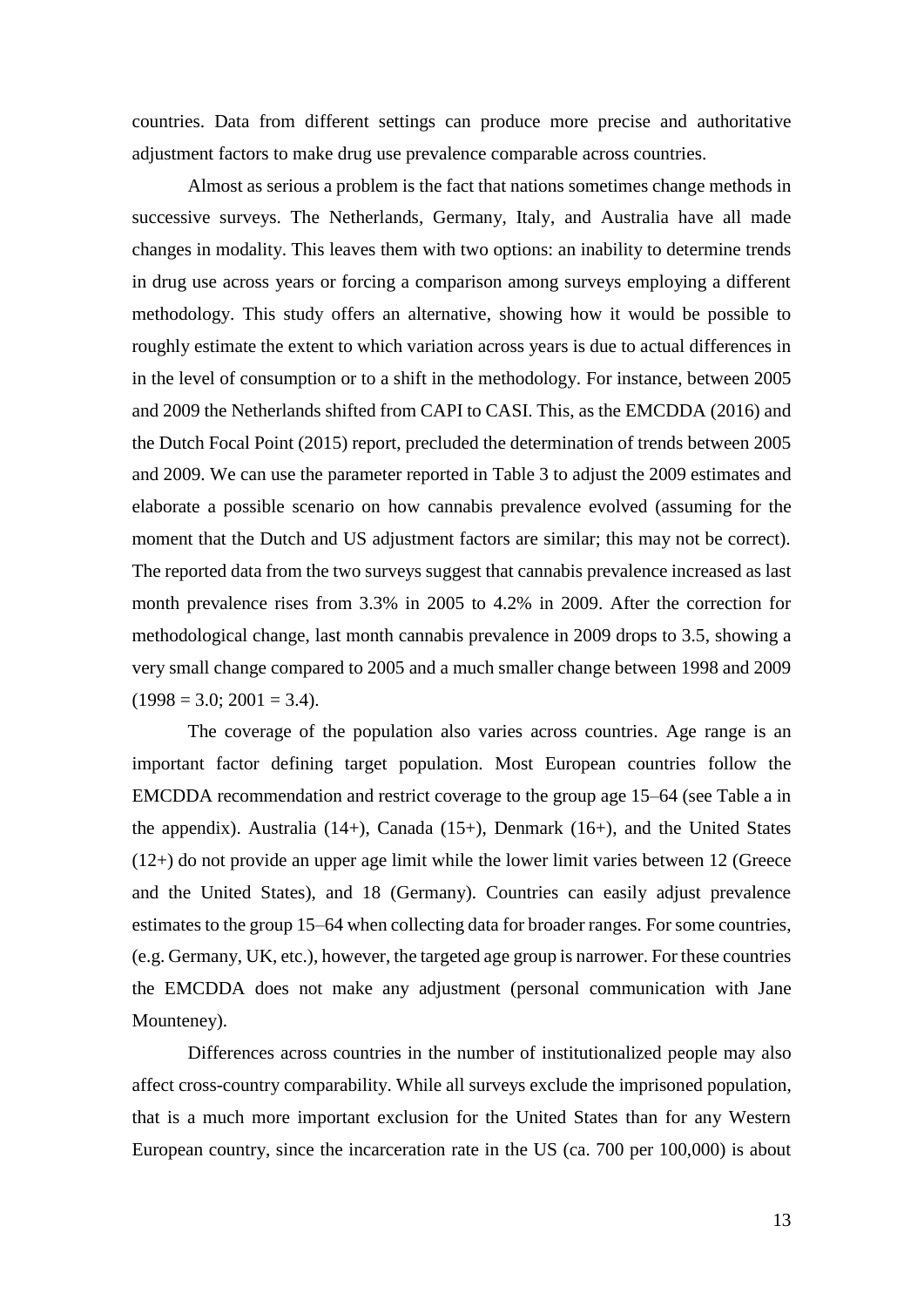countries. Data from different settings can produce more precise and authoritative adjustment factors to make drug use prevalence comparable across countries.

Almost as serious a problem is the fact that nations sometimes change methods in successive surveys. The Netherlands, Germany, Italy, and Australia have all made changes in modality. This leaves them with two options: an inability to determine trends in drug use across years or forcing a comparison among surveys employing a different methodology. This study offers an alternative, showing how it would be possible to roughly estimate the extent to which variation across years is due to actual differences in in the level of consumption or to a shift in the methodology. For instance, between 2005 and 2009 the Netherlands shifted from CAPI to CASI. This, as the EMCDDA (2016) and the Dutch Focal Point (2015) report, precluded the determination of trends between 2005 and 2009. We can use the parameter reported in Table 3 to adjust the 2009 estimates and elaborate a possible scenario on how cannabis prevalence evolved (assuming for the moment that the Dutch and US adjustment factors are similar; this may not be correct). The reported data from the two surveys suggest that cannabis prevalence increased as last month prevalence rises from 3.3% in 2005 to 4.2% in 2009. After the correction for methodological change, last month cannabis prevalence in 2009 drops to 3.5, showing a very small change compared to 2005 and a much smaller change between 1998 and 2009  $(1998 = 3.0; 2001 = 3.4).$ 

The coverage of the population also varies across countries. Age range is an important factor defining target population. Most European countries follow the EMCDDA recommendation and restrict coverage to the group age 15–64 (see Table a in the appendix). Australia (14+), Canada (15+), Denmark (16+), and the United States (12+) do not provide an upper age limit while the lower limit varies between 12 (Greece and the United States), and 18 (Germany). Countries can easily adjust prevalence estimates to the group 15–64 when collecting data for broader ranges. For some countries, (e.g. Germany, UK, etc.), however, the targeted age group is narrower. For these countries the EMCDDA does not make any adjustment (personal communication with Jane Mounteney).

Differences across countries in the number of institutionalized people may also affect cross-country comparability. While all surveys exclude the imprisoned population, that is a much more important exclusion for the United States than for any Western European country, since the incarceration rate in the US (ca. 700 per 100,000) is about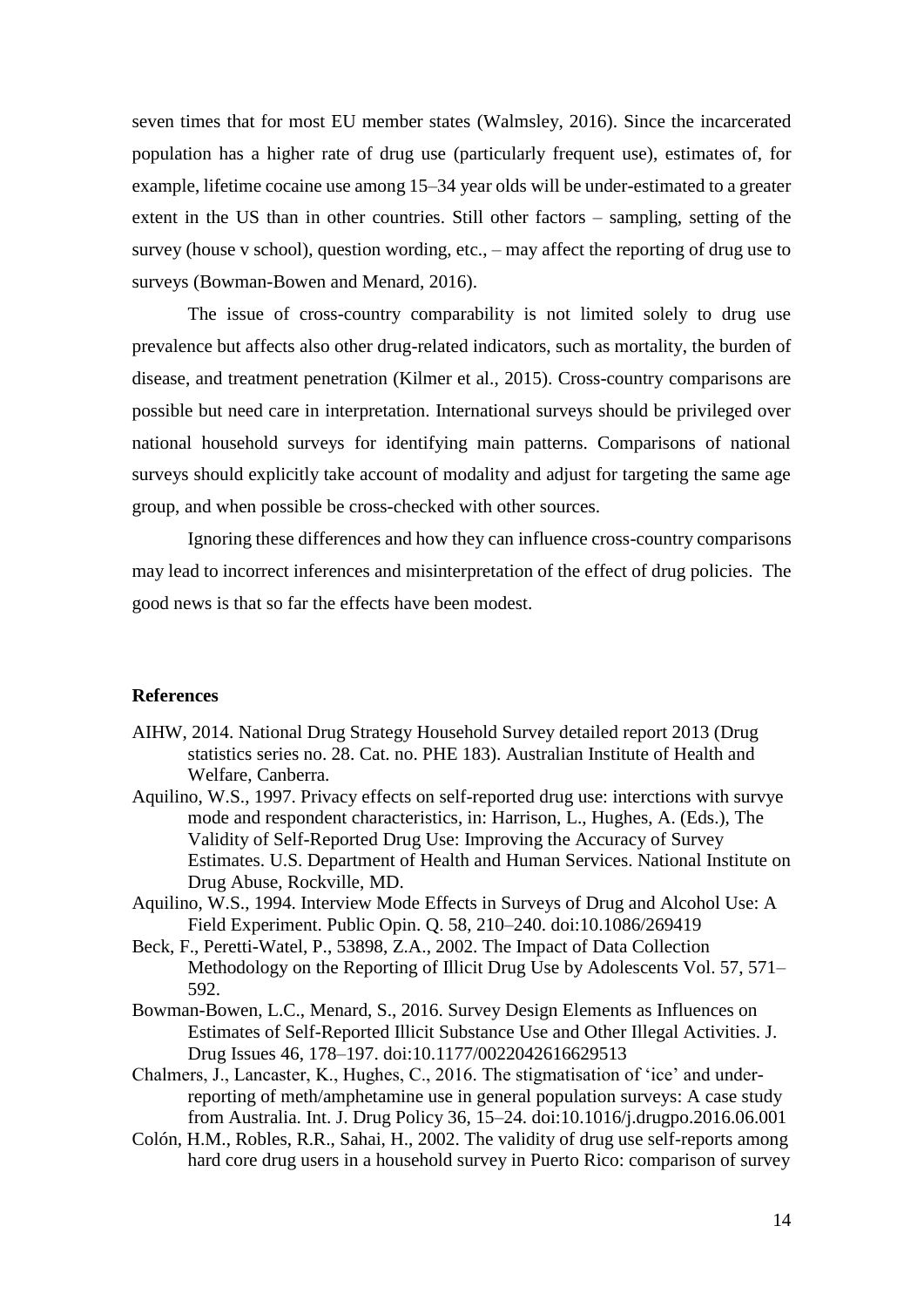seven times that for most EU member states (Walmsley, 2016). Since the incarcerated population has a higher rate of drug use (particularly frequent use), estimates of, for example, lifetime cocaine use among 15–34 year olds will be under-estimated to a greater extent in the US than in other countries. Still other factors – sampling, setting of the survey (house v school), question wording, etc., – may affect the reporting of drug use to surveys (Bowman-Bowen and Menard, 2016).

The issue of cross-country comparability is not limited solely to drug use prevalence but affects also other drug-related indicators, such as mortality, the burden of disease, and treatment penetration (Kilmer et al., 2015). Cross-country comparisons are possible but need care in interpretation. International surveys should be privileged over national household surveys for identifying main patterns. Comparisons of national surveys should explicitly take account of modality and adjust for targeting the same age group, and when possible be cross-checked with other sources.

Ignoring these differences and how they can influence cross-country comparisons may lead to incorrect inferences and misinterpretation of the effect of drug policies. The good news is that so far the effects have been modest.

#### **References**

- AIHW, 2014. National Drug Strategy Household Survey detailed report 2013 (Drug statistics series no. 28. Cat. no. PHE 183). Australian Institute of Health and Welfare, Canberra.
- Aquilino, W.S., 1997. Privacy effects on self-reported drug use: interctions with survye mode and respondent characteristics, in: Harrison, L., Hughes, A. (Eds.), The Validity of Self-Reported Drug Use: Improving the Accuracy of Survey Estimates. U.S. Department of Health and Human Services. National Institute on Drug Abuse, Rockville, MD.
- Aquilino, W.S., 1994. Interview Mode Effects in Surveys of Drug and Alcohol Use: A Field Experiment. Public Opin. Q. 58, 210–240. doi:10.1086/269419
- Beck, F., Peretti-Watel, P., 53898, Z.A., 2002. The Impact of Data Collection Methodology on the Reporting of Illicit Drug Use by Adolescents Vol. 57, 571– 592.
- Bowman-Bowen, L.C., Menard, S., 2016. Survey Design Elements as Influences on Estimates of Self-Reported Illicit Substance Use and Other Illegal Activities. J. Drug Issues 46, 178–197. doi:10.1177/0022042616629513
- Chalmers, J., Lancaster, K., Hughes, C., 2016. The stigmatisation of 'ice' and underreporting of meth/amphetamine use in general population surveys: A case study from Australia. Int. J. Drug Policy 36, 15–24. doi:10.1016/j.drugpo.2016.06.001
- Colón, H.M., Robles, R.R., Sahai, H., 2002. The validity of drug use self-reports among hard core drug users in a household survey in Puerto Rico: comparison of survey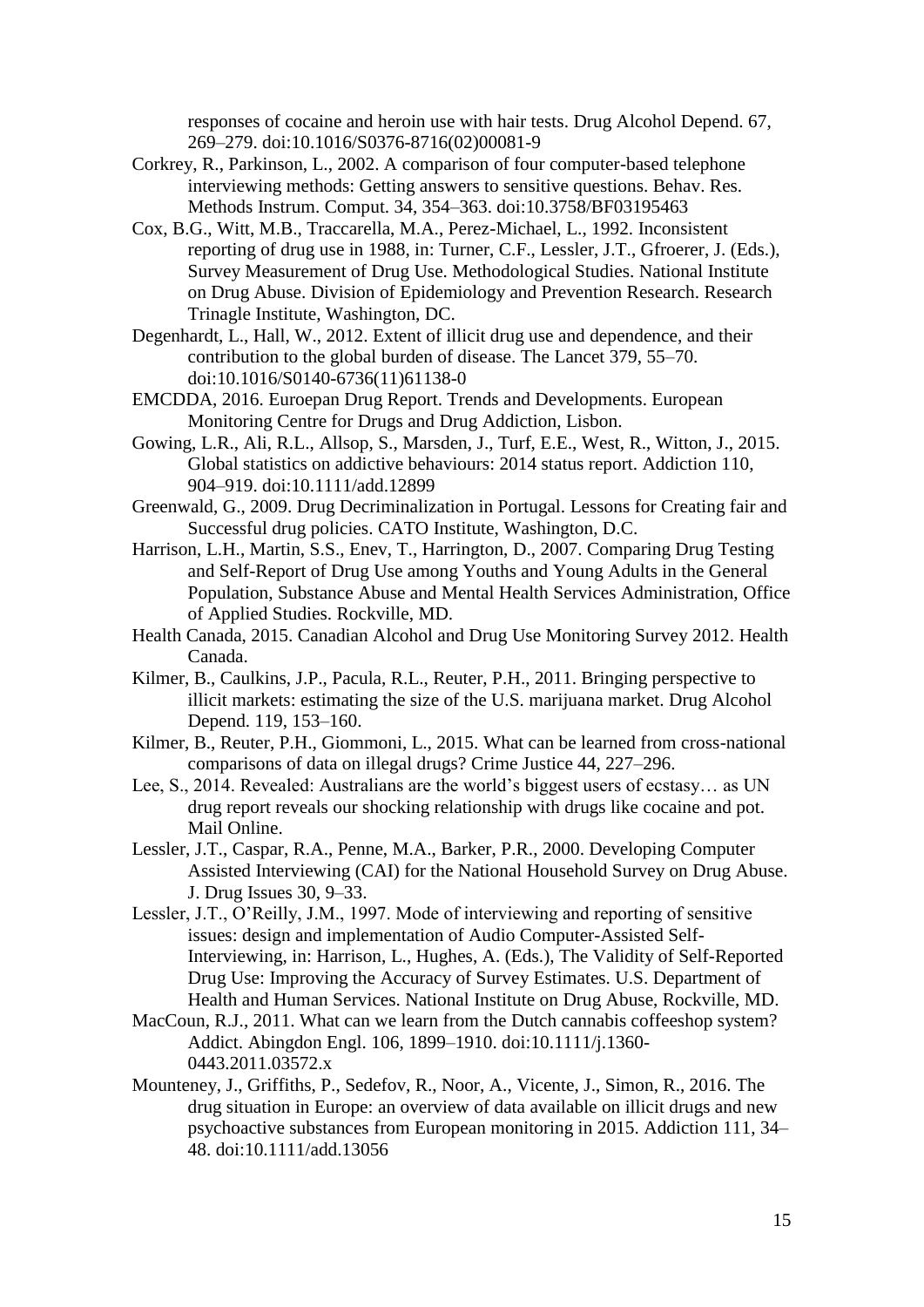responses of cocaine and heroin use with hair tests. Drug Alcohol Depend. 67, 269–279. doi:10.1016/S0376-8716(02)00081-9

- Corkrey, R., Parkinson, L., 2002. A comparison of four computer-based telephone interviewing methods: Getting answers to sensitive questions. Behav. Res. Methods Instrum. Comput. 34, 354–363. doi:10.3758/BF03195463
- Cox, B.G., Witt, M.B., Traccarella, M.A., Perez-Michael, L., 1992. Inconsistent reporting of drug use in 1988, in: Turner, C.F., Lessler, J.T., Gfroerer, J. (Eds.), Survey Measurement of Drug Use. Methodological Studies. National Institute on Drug Abuse. Division of Epidemiology and Prevention Research. Research Trinagle Institute, Washington, DC.
- Degenhardt, L., Hall, W., 2012. Extent of illicit drug use and dependence, and their contribution to the global burden of disease. The Lancet 379, 55–70. doi:10.1016/S0140-6736(11)61138-0
- EMCDDA, 2016. Euroepan Drug Report. Trends and Developments. European Monitoring Centre for Drugs and Drug Addiction, Lisbon.
- Gowing, L.R., Ali, R.L., Allsop, S., Marsden, J., Turf, E.E., West, R., Witton, J., 2015. Global statistics on addictive behaviours: 2014 status report. Addiction 110, 904–919. doi:10.1111/add.12899
- Greenwald, G., 2009. Drug Decriminalization in Portugal. Lessons for Creating fair and Successful drug policies. CATO Institute, Washington, D.C.
- Harrison, L.H., Martin, S.S., Enev, T., Harrington, D., 2007. Comparing Drug Testing and Self-Report of Drug Use among Youths and Young Adults in the General Population, Substance Abuse and Mental Health Services Administration, Office of Applied Studies. Rockville, MD.
- Health Canada, 2015. Canadian Alcohol and Drug Use Monitoring Survey 2012. Health Canada.
- Kilmer, B., Caulkins, J.P., Pacula, R.L., Reuter, P.H., 2011. Bringing perspective to illicit markets: estimating the size of the U.S. marijuana market. Drug Alcohol Depend. 119, 153–160.
- Kilmer, B., Reuter, P.H., Giommoni, L., 2015. What can be learned from cross-national comparisons of data on illegal drugs? Crime Justice 44, 227–296.
- Lee, S., 2014. Revealed: Australians are the world's biggest users of ecstasy… as UN drug report reveals our shocking relationship with drugs like cocaine and pot. Mail Online.
- Lessler, J.T., Caspar, R.A., Penne, M.A., Barker, P.R., 2000. Developing Computer Assisted Interviewing (CAI) for the National Household Survey on Drug Abuse. J. Drug Issues 30, 9–33.
- Lessler, J.T., O'Reilly, J.M., 1997. Mode of interviewing and reporting of sensitive issues: design and implementation of Audio Computer-Assisted Self-Interviewing, in: Harrison, L., Hughes, A. (Eds.), The Validity of Self-Reported Drug Use: Improving the Accuracy of Survey Estimates. U.S. Department of Health and Human Services. National Institute on Drug Abuse, Rockville, MD.
- MacCoun, R.J., 2011. What can we learn from the Dutch cannabis coffeeshop system? Addict. Abingdon Engl. 106, 1899–1910. doi:10.1111/j.1360- 0443.2011.03572.x
- Mounteney, J., Griffiths, P., Sedefov, R., Noor, A., Vicente, J., Simon, R., 2016. The drug situation in Europe: an overview of data available on illicit drugs and new psychoactive substances from European monitoring in 2015. Addiction 111, 34– 48. doi:10.1111/add.13056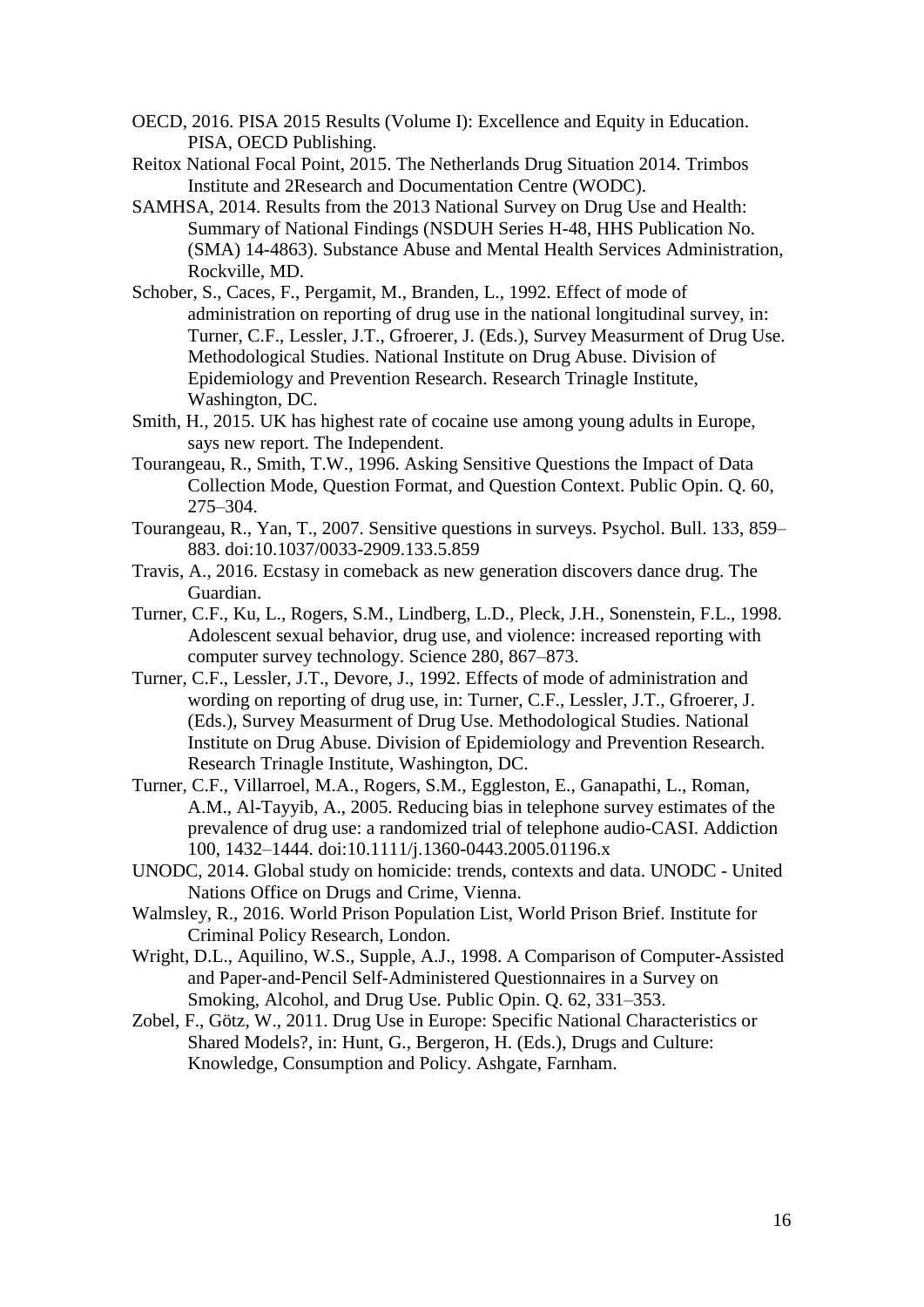- OECD, 2016. PISA 2015 Results (Volume I): Excellence and Equity in Education. PISA, OECD Publishing.
- Reitox National Focal Point, 2015. The Netherlands Drug Situation 2014. Trimbos Institute and 2Research and Documentation Centre (WODC).
- SAMHSA, 2014. Results from the 2013 National Survey on Drug Use and Health: Summary of National Findings (NSDUH Series H-48, HHS Publication No. (SMA) 14-4863). Substance Abuse and Mental Health Services Administration, Rockville, MD.
- Schober, S., Caces, F., Pergamit, M., Branden, L., 1992. Effect of mode of administration on reporting of drug use in the national longitudinal survey, in: Turner, C.F., Lessler, J.T., Gfroerer, J. (Eds.), Survey Measurment of Drug Use. Methodological Studies. National Institute on Drug Abuse. Division of Epidemiology and Prevention Research. Research Trinagle Institute, Washington, DC.
- Smith, H., 2015. UK has highest rate of cocaine use among young adults in Europe, says new report. The Independent.
- Tourangeau, R., Smith, T.W., 1996. Asking Sensitive Questions the Impact of Data Collection Mode, Question Format, and Question Context. Public Opin. Q. 60, 275–304.
- Tourangeau, R., Yan, T., 2007. Sensitive questions in surveys. Psychol. Bull. 133, 859– 883. doi:10.1037/0033-2909.133.5.859
- Travis, A., 2016. Ecstasy in comeback as new generation discovers dance drug. The Guardian.
- Turner, C.F., Ku, L., Rogers, S.M., Lindberg, L.D., Pleck, J.H., Sonenstein, F.L., 1998. Adolescent sexual behavior, drug use, and violence: increased reporting with computer survey technology. Science 280, 867–873.
- Turner, C.F., Lessler, J.T., Devore, J., 1992. Effects of mode of administration and wording on reporting of drug use, in: Turner, C.F., Lessler, J.T., Gfroerer, J. (Eds.), Survey Measurment of Drug Use. Methodological Studies. National Institute on Drug Abuse. Division of Epidemiology and Prevention Research. Research Trinagle Institute, Washington, DC.
- Turner, C.F., Villarroel, M.A., Rogers, S.M., Eggleston, E., Ganapathi, L., Roman, A.M., Al-Tayyib, A., 2005. Reducing bias in telephone survey estimates of the prevalence of drug use: a randomized trial of telephone audio-CASI. Addiction 100, 1432–1444. doi:10.1111/j.1360-0443.2005.01196.x
- UNODC, 2014. Global study on homicide: trends, contexts and data. UNODC United Nations Office on Drugs and Crime, Vienna.
- Walmsley, R., 2016. World Prison Population List, World Prison Brief. Institute for Criminal Policy Research, London.
- Wright, D.L., Aquilino, W.S., Supple, A.J., 1998. A Comparison of Computer-Assisted and Paper-and-Pencil Self-Administered Questionnaires in a Survey on Smoking, Alcohol, and Drug Use. Public Opin. Q. 62, 331–353.
- Zobel, F., Götz, W., 2011. Drug Use in Europe: Specific National Characteristics or Shared Models?, in: Hunt, G., Bergeron, H. (Eds.), Drugs and Culture: Knowledge, Consumption and Policy. Ashgate, Farnham.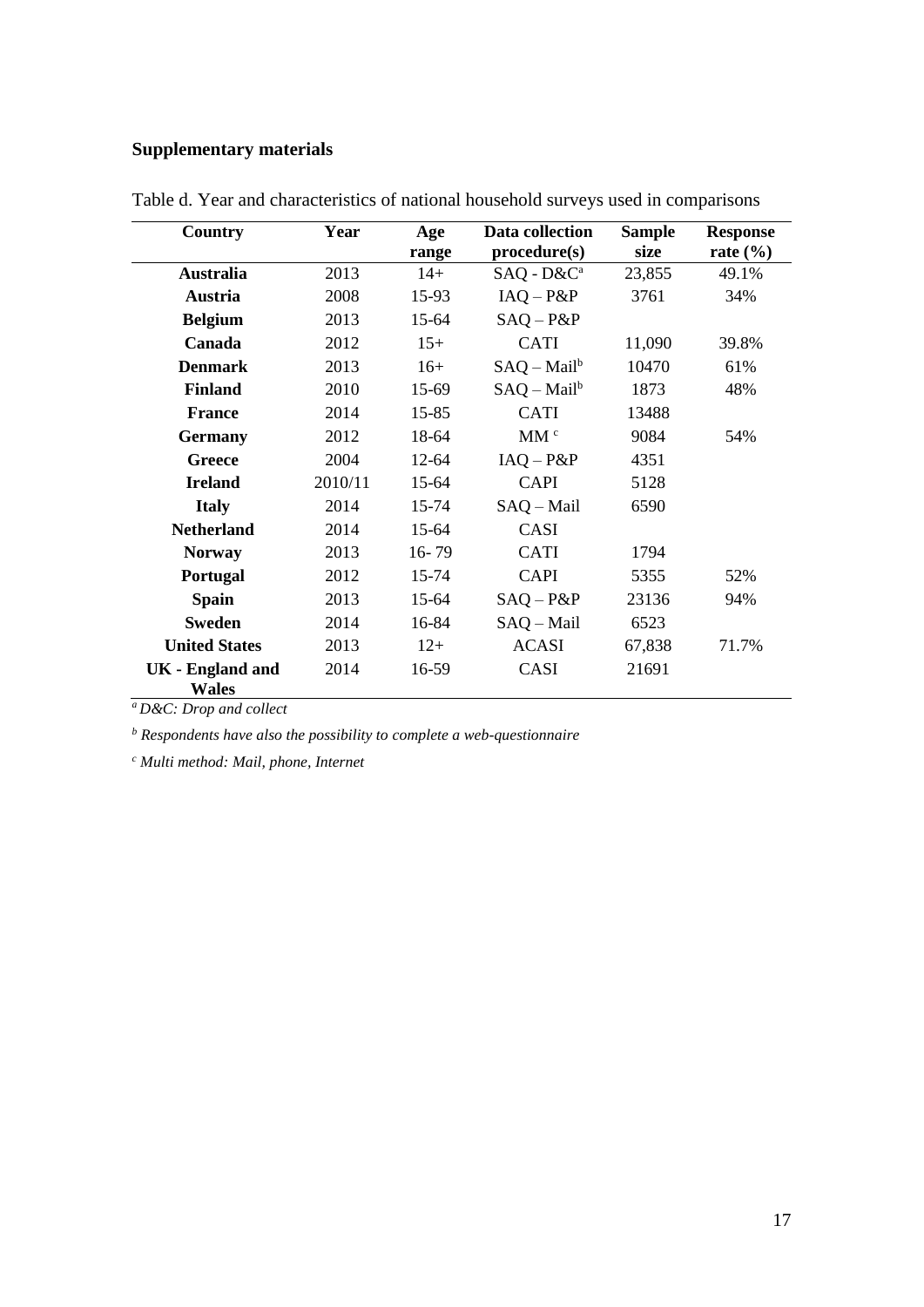## **Supplementary materials**

| <b>Country</b>                   | Year    | Age       | Data collection        | <b>Sample</b> | <b>Response</b> |
|----------------------------------|---------|-----------|------------------------|---------------|-----------------|
|                                  |         | range     | procedure(s)           | size          | rate $(\% )$    |
| <b>Australia</b>                 | 2013    | $14+$     | SAQ - D&C <sup>a</sup> | 23,855        | 49.1%           |
| Austria                          | 2008    | 15-93     | $IAO-P\&P$             | 3761          | 34%             |
| <b>Belgium</b>                   | 2013    | 15-64     | $SAO-P\&P$             |               |                 |
| Canada                           | 2012    | $15+$     | <b>CATI</b>            | 11,090        | 39.8%           |
| <b>Denmark</b>                   | 2013    | $16+$     | $SAO - Mail^b$         | 10470         | 61%             |
| <b>Finland</b>                   | 2010    | 15-69     | $SAQ - Mail^b$         | 1873          | 48%             |
| <b>France</b>                    | 2014    | 15-85     | <b>CATI</b>            | 13488         |                 |
| <b>Germany</b>                   | 2012    | 18-64     | MM <sup>c</sup>        | 9084          | 54%             |
| <b>Greece</b>                    | 2004    | 12-64     | $IAO-P\&P$             | 4351          |                 |
| <b>Ireland</b>                   | 2010/11 | 15-64     | <b>CAPI</b>            | 5128          |                 |
| <b>Italy</b>                     | 2014    | 15-74     | SAQ - Mail             | 6590          |                 |
| <b>Netherland</b>                | 2014    | 15-64     | CASI                   |               |                 |
| <b>Norway</b>                    | 2013    | $16 - 79$ | <b>CATI</b>            | 1794          |                 |
| <b>Portugal</b>                  | 2012    | 15-74     | <b>CAPI</b>            | 5355          | 52%             |
| <b>Spain</b>                     | 2013    | 15-64     | $SAO-P\&P$             | 23136         | 94%             |
| <b>Sweden</b>                    | 2014    | 16-84     | SAQ - Mail             | 6523          |                 |
| <b>United States</b>             | 2013    | $12+$     | <b>ACASI</b>           | 67,838        | 71.7%           |
| UK - England and<br><b>Wales</b> | 2014    | 16-59     | CASI                   | 21691         |                 |

Table d. Year and characteristics of national household surveys used in comparisons

*<sup>a</sup>D&C: Drop and collect* 

*b Respondents have also the possibility to complete a web-questionnaire* 

*c Multi method: Mail, phone, Internet*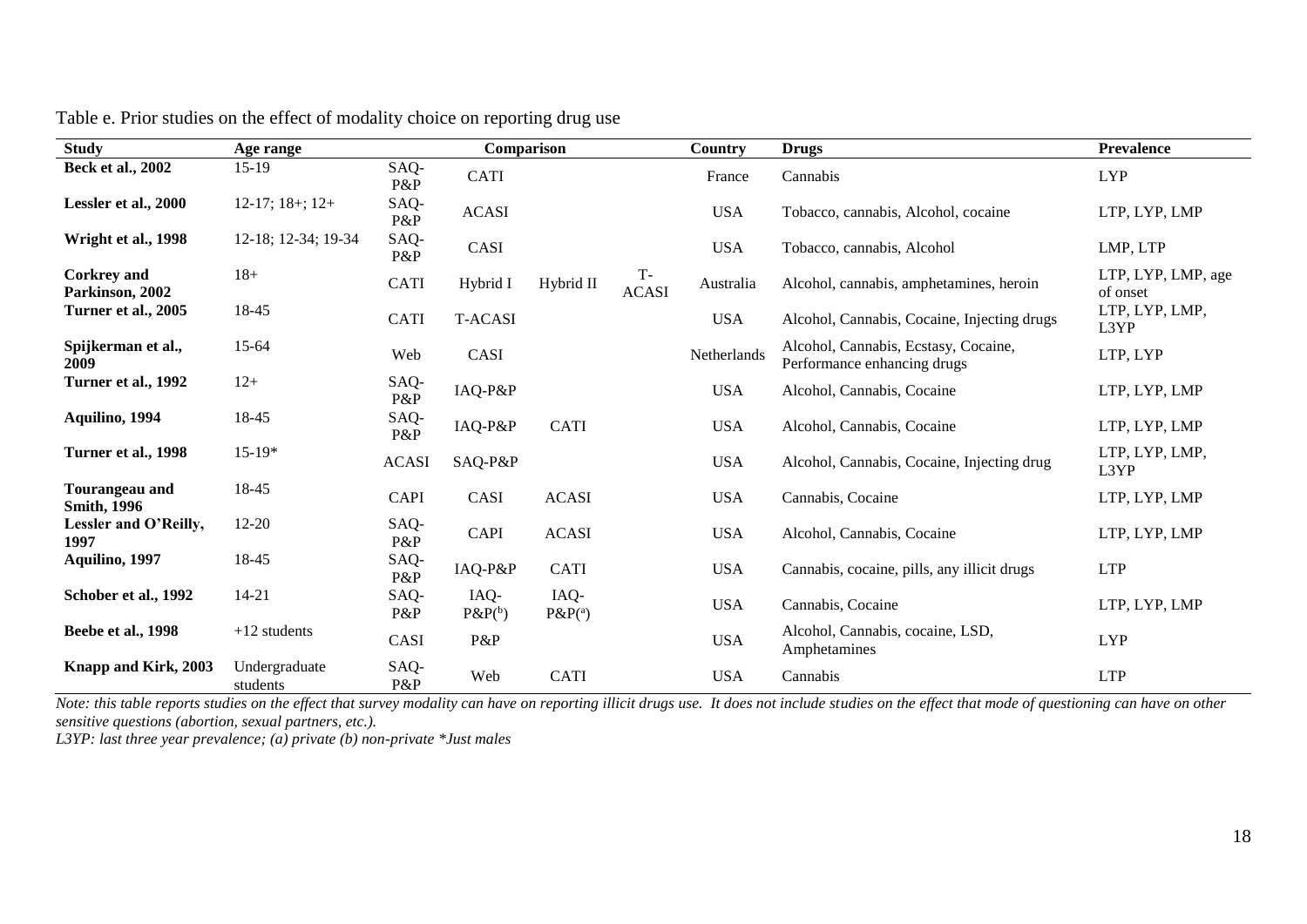| <b>Study</b>                                | Age range                 |                | Comparison           |                      |                       | <b>Country</b> | <b>Drugs</b>                                                        | <b>Prevalence</b>              |
|---------------------------------------------|---------------------------|----------------|----------------------|----------------------|-----------------------|----------------|---------------------------------------------------------------------|--------------------------------|
| Beck et al., 2002                           | $15-19$                   | SAQ-<br>P&P    | <b>CATI</b>          |                      |                       | France         | Cannabis                                                            | <b>LYP</b>                     |
| Lessler et al., 2000                        | $12-17$ ; $18+$ ; $12+$   | SAQ-<br>P&P    | <b>ACASI</b>         |                      |                       | <b>USA</b>     | Tobacco, cannabis, Alcohol, cocaine                                 | LTP, LYP, LMP                  |
| Wright et al., 1998                         | 12-18; 12-34; 19-34       | SAQ-<br>$P\&P$ | CASI                 |                      |                       | <b>USA</b>     | Tobacco, cannabis, Alcohol                                          | LMP, LTP                       |
| <b>Corkrey</b> and<br>Parkinson, 2002       | $18+$                     | CATI           | Hybrid I             | Hybrid II            | $T -$<br><b>ACASI</b> | Australia      | Alcohol, cannabis, amphetamines, heroin                             | LTP, LYP, LMP, age<br>of onset |
| Turner et al., 2005                         | 18-45                     | <b>CATI</b>    | <b>T-ACASI</b>       |                      |                       | <b>USA</b>     | Alcohol, Cannabis, Cocaine, Injecting drugs                         | LTP, LYP, LMP,<br>L3YP         |
| Spijkerman et al.,<br>2009                  | $15-64$                   | Web            | CASI                 |                      |                       | Netherlands    | Alcohol, Cannabis, Ecstasy, Cocaine,<br>Performance enhancing drugs | LTP, LYP                       |
| Turner et al., 1992                         | $12+$                     | SAQ-<br>P&P    | IAQ-P&P              |                      |                       | <b>USA</b>     | Alcohol, Cannabis, Cocaine                                          | LTP, LYP, LMP                  |
| Aquilino, 1994                              | 18-45                     | SAQ-<br>P&P    | IAQ-P&P              | <b>CATI</b>          |                       | <b>USA</b>     | Alcohol, Cannabis, Cocaine                                          | LTP, LYP, LMP                  |
| Turner et al., 1998                         | $15-19*$                  | <b>ACASI</b>   | SAQ-P&P              |                      |                       | <b>USA</b>     | Alcohol, Cannabis, Cocaine, Injecting drug                          | LTP, LYP, LMP,<br>L3YP         |
| <b>Tourangeau and</b><br><b>Smith, 1996</b> | 18-45                     | <b>CAPI</b>    | CASI                 | <b>ACASI</b>         |                       | <b>USA</b>     | Cannabis, Cocaine                                                   | LTP, LYP, LMP                  |
| Lessler and O'Reilly,<br>1997               | $12 - 20$                 | SAQ-<br>P&P    | <b>CAPI</b>          | <b>ACASI</b>         |                       | <b>USA</b>     | Alcohol, Cannabis, Cocaine                                          | LTP, LYP, LMP                  |
| Aquilino, 1997                              | 18-45                     | SAQ-<br>$P\&P$ | IAQ-P&P              | <b>CATI</b>          |                       | <b>USA</b>     | Cannabis, cocaine, pills, any illicit drugs                         | <b>LTP</b>                     |
| Schober et al., 1992                        | $14 - 21$                 | SAQ-<br>P&P    | IAQ-<br>$P\&P(^{b})$ | IAQ-<br>$P\&P(^{a})$ |                       | <b>USA</b>     | Cannabis, Cocaine                                                   | LTP, LYP, LMP                  |
| Beebe et al., 1998                          | $+12$ students            | CASI           | P&P                  |                      |                       | <b>USA</b>     | Alcohol, Cannabis, cocaine, LSD,<br>Amphetamines                    | <b>LYP</b>                     |
| Knapp and Kirk, 2003                        | Undergraduate<br>students | SAQ-<br>P&P    | Web                  | <b>CATI</b>          |                       | <b>USA</b>     | Cannabis                                                            | <b>LTP</b>                     |

Table e. Prior studies on the effect of modality choice on reporting drug use

*Note: this table reports studies on the effect that survey modality can have on reporting illicit drugs use. It does not include studies on the effect that mode of questioning can have on other sensitive questions (abortion, sexual partners, etc.).* 

*L3YP: last three year prevalence; (a) private (b) non-private \*Just males*